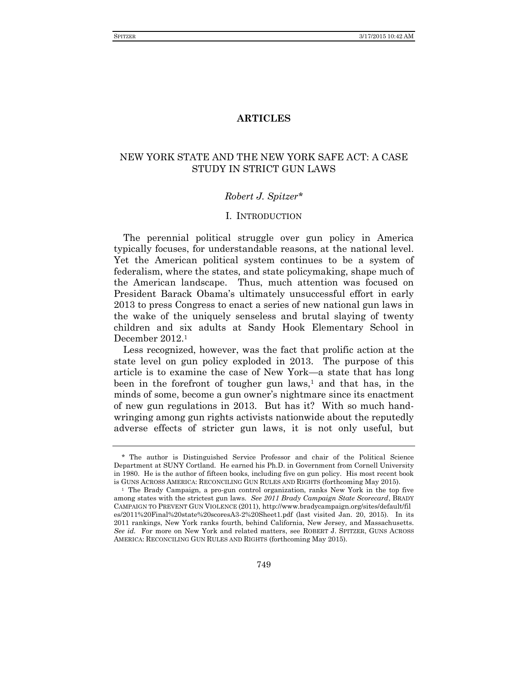# **ARTICLES**

# NEW YORK STATE AND THE NEW YORK SAFE ACT: A CASE STUDY IN STRICT GUN LAWS

### *Robert J. Spitzer\**

### I. INTRODUCTION

The perennial political struggle over gun policy in America typically focuses, for understandable reasons, at the national level. Yet the American political system continues to be a system of federalism, where the states, and state policymaking, shape much of the American landscape. Thus, much attention was focused on President Barack Obama's ultimately unsuccessful effort in early 2013 to press Congress to enact a series of new national gun laws in the wake of the uniquely senseless and brutal slaying of twenty children and six adults at Sandy Hook Elementary School in December 2012.<sup>1</sup>

Less recognized, however, was the fact that prolific action at the state level on gun policy exploded in 2013. The purpose of this article is to examine the case of New York—a state that has long been in the forefront of tougher gun laws, $<sup>1</sup>$  and that has, in the</sup> minds of some, become a gun owner's nightmare since its enactment of new gun regulations in 2013. But has it? With so much handwringing among gun rights activists nationwide about the reputedly adverse effects of stricter gun laws, it is not only useful, but

<sup>\*</sup> The author is Distinguished Service Professor and chair of the Political Science Department at SUNY Cortland. He earned his Ph.D. in Government from Cornell University in 1980. He is the author of fifteen books, including five on gun policy. His most recent book is GUNS ACROSS AMERICA: RECONCILING GUN RULES AND RIGHTS (forthcoming May 2015).

<sup>1</sup> The Brady Campaign, a pro-gun control organization, ranks New York in the top five among states with the strictest gun laws. *See 2011 Brady Campaign State Scorecard*, BRADY CAMPAIGN TO PREVENT GUN VIOLENCE (2011), http://www.bradycampaign.org/sites/default/fil es/2011%20Final%20state%20scoresA3-2%20Sheet1.pdf (last visited Jan. 20, 2015). In its 2011 rankings, New York ranks fourth, behind California, New Jersey, and Massachusetts. *See id.* For more on New York and related matters, see ROBERT J. SPITZER, GUNS ACROSS AMERICA: RECONCILING GUN RULES AND RIGHTS (forthcoming May 2015).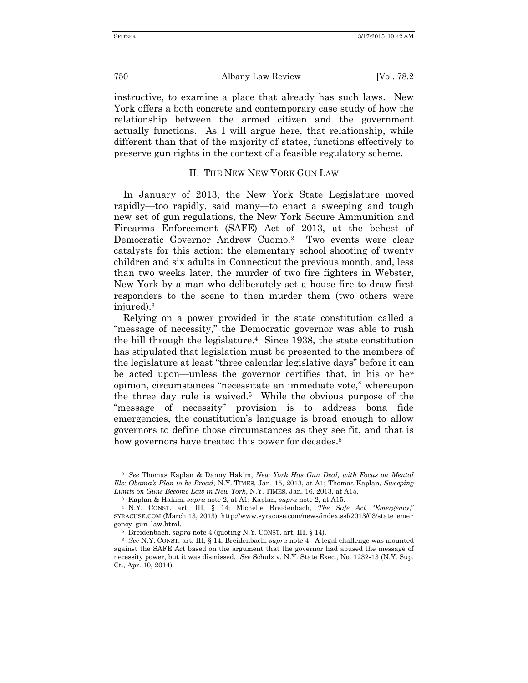instructive, to examine a place that already has such laws. New York offers a both concrete and contemporary case study of how the relationship between the armed citizen and the government actually functions. As I will argue here, that relationship, while different than that of the majority of states, functions effectively to preserve gun rights in the context of a feasible regulatory scheme.

# II. THE NEW NEW YORK GUN LAW

In January of 2013, the New York State Legislature moved rapidly—too rapidly, said many—to enact a sweeping and tough new set of gun regulations, the New York Secure Ammunition and Firearms Enforcement (SAFE) Act of 2013, at the behest of Democratic Governor Andrew Cuomo.<sup>2</sup> Two events were clear catalysts for this action: the elementary school shooting of twenty children and six adults in Connecticut the previous month, and, less than two weeks later, the murder of two fire fighters in Webster, New York by a man who deliberately set a house fire to draw first responders to the scene to then murder them (two others were injured).<sup>3</sup>

Relying on a power provided in the state constitution called a "message of necessity," the Democratic governor was able to rush the bill through the legislature.<sup>4</sup> Since 1938, the state constitution has stipulated that legislation must be presented to the members of the legislature at least "three calendar legislative days" before it can be acted upon—unless the governor certifies that, in his or her opinion, circumstances "necessitate an immediate vote," whereupon the three day rule is waived.<sup>5</sup> While the obvious purpose of the "message of necessity" provision is to address bona fide emergencies, the constitution's language is broad enough to allow governors to define those circumstances as they see fit, and that is how governors have treated this power for decades.<sup>6</sup>

<sup>2</sup> *See* Thomas Kaplan & Danny Hakim, *New York Has Gun Deal, with Focus on Mental Ills; Obama's Plan to be Broad*, N.Y. TIMES, Jan. 15, 2013, at A1; Thomas Kaplan, *Sweeping Limits on Guns Become Law in New York*, N.Y. TIMES, Jan. 16, 2013, at A15.

<sup>3</sup> Kaplan & Hakim, *supra* note 2, at A1; Kaplan, *supra* note 2, at A15.

<sup>4</sup> N.Y. CONST. art. III, § 14; Michelle Breidenbach, *The Safe Act "Emergency*," SYRACUSE.COM (March 13, 2013), http://www.syracuse.com/news/index.ssf/2013/03/state\_emer gency\_gun\_law.html.

<sup>5</sup> Breidenbach, *supra* note 4 (quoting N.Y. CONST. art. III, § 14).

<sup>6</sup> *See* N.Y. CONST. art. III, § 14; Breidenbach, *supra* note 4. A legal challenge was mounted against the SAFE Act based on the argument that the governor had abused the message of necessity power, but it was dismissed. *See* Schulz v. N.Y. State Exec., No. 1232-13 (N.Y. Sup. Ct., Apr. 10, 2014).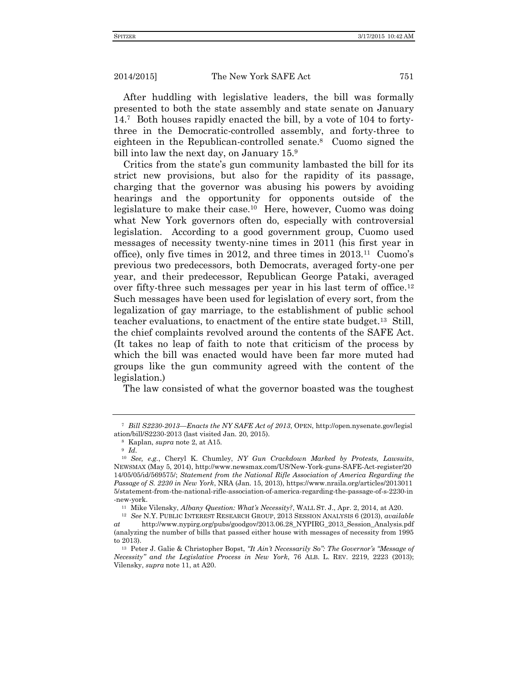After huddling with legislative leaders, the bill was formally presented to both the state assembly and state senate on January 14.<sup>7</sup> Both houses rapidly enacted the bill, by a vote of 104 to fortythree in the Democratic-controlled assembly, and forty-three to eighteen in the Republican-controlled senate.<sup>8</sup> Cuomo signed the bill into law the next day, on January 15.<sup>9</sup>

Critics from the state's gun community lambasted the bill for its strict new provisions, but also for the rapidity of its passage, charging that the governor was abusing his powers by avoiding hearings and the opportunity for opponents outside of the legislature to make their case.<sup>10</sup> Here, however, Cuomo was doing what New York governors often do, especially with controversial legislation. According to a good government group, Cuomo used messages of necessity twenty-nine times in 2011 (his first year in office), only five times in 2012, and three times in 2013.<sup>11</sup> Cuomo's previous two predecessors, both Democrats, averaged forty-one per year, and their predecessor, Republican George Pataki, averaged over fifty-three such messages per year in his last term of office.<sup>12</sup> Such messages have been used for legislation of every sort, from the legalization of gay marriage, to the establishment of public school teacher evaluations, to enactment of the entire state budget.<sup>13</sup> Still, the chief complaints revolved around the contents of the SAFE Act. (It takes no leap of faith to note that criticism of the process by which the bill was enacted would have been far more muted had groups like the gun community agreed with the content of the legislation.)

The law consisted of what the governor boasted was the toughest

<sup>7</sup> *Bill S2230-2013—Enacts the NY SAFE Act of 2013*, OPEN, http://open.nysenate.gov/legisl ation/bill/S2230-2013 (last visited Jan. 20, 2015).

<sup>8</sup> Kaplan, *supra* note 2, at A15.

<sup>9</sup> *Id.*

<sup>10</sup> *See, e.g.*, Cheryl K. Chumley, *NY Gun Crackdown Marked by Protests, Lawsuits*, NEWSMAX (May 5, 2014), http://www.newsmax.com/US/New-York-guns-SAFE-Act-register/20 14/05/05/id/569575/; *Statement from the National Rifle Association of America Regarding the Passage of S. 2230 in New York*, NRA (Jan. 15, 2013), https://www.nraila.org/articles/2013011 5/statement-from-the-national-rifle-association-of-america-regarding-the-passage-of-s-2230-in -new-york.

<sup>11</sup> Mike Vilensky, *Albany Question: What's Necessity?*, WALL ST. J., Apr. 2, 2014, at A20.

<sup>12</sup> *See* N.Y. PUBLIC INTEREST RESEARCH GROUP, 2013 SESSION ANALYSIS 6 (2013), *available at* http://www.nypirg.org/pubs/goodgov/2013.06.28\_NYPIRG\_2013\_Session\_Analysis.pdf (analyzing the number of bills that passed either house with messages of necessity from 1995 to 2013).

<sup>13</sup> Peter J. Galie & Christopher Bopst, *"It Ain't Necessarily So": The Governor's "Message of Necessity" and the Legislative Process in New York*, 76 ALB. L. REV. 2219, 2223 (2013); Vilensky, *supra* note 11, at A20.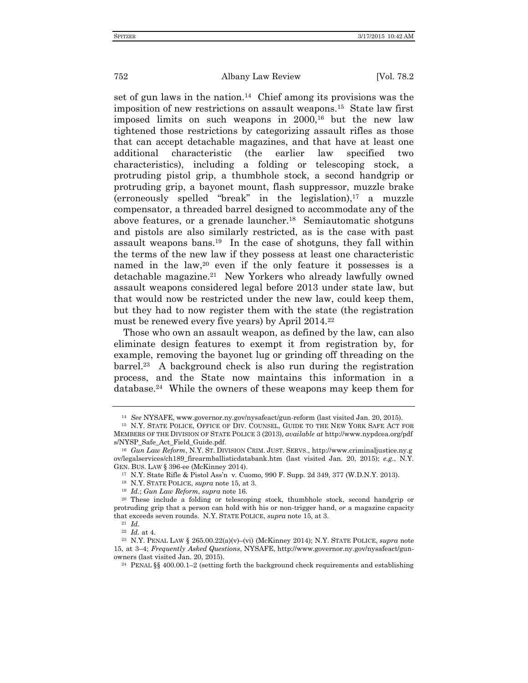set of gun laws in the nation.<sup>14</sup> Chief among its provisions was the imposition of new restrictions on assault weapons.<sup>15</sup> State law first imposed limits on such weapons in 2000,<sup>16</sup> but the new law tightened those restrictions by categorizing assault rifles as those that can accept detachable magazines, and that have at least one additional characteristic (the earlier law specified two characteristics), including a folding or telescoping stock, a protruding pistol grip, a thumbhole stock, a second handgrip or protruding grip, a bayonet mount, flash suppressor, muzzle brake (erroneously spelled "break" in the legislation), <sup>17</sup> a muzzle compensator, a threaded barrel designed to accommodate any of the above features, or a grenade launcher.<sup>18</sup> Semiautomatic shotguns and pistols are also similarly restricted, as is the case with past assault weapons bans.<sup>19</sup> In the case of shotguns, they fall within the terms of the new law if they possess at least one characteristic named in the law,<sup>20</sup> even if the only feature it possesses is a detachable magazine.<sup>21</sup> New Yorkers who already lawfully owned assault weapons considered legal before 2013 under state law, but that would now be restricted under the new law, could keep them, but they had to now register them with the state (the registration must be renewed every five years) by April 2014.<sup>22</sup>

Those who own an assault weapon, as defined by the law, can also eliminate design features to exempt it from registration by, for example, removing the bayonet lug or grinding off threading on the barrel.<sup>23</sup> A background check is also run during the registration process, and the State now maintains this information in a database.<sup>24</sup> While the owners of these weapons may keep them for

<sup>14</sup> *See* NYSAFE, www.governor.ny.gov/nysafeact/gun-reform (last visited Jan. 20, 2015).

<sup>15</sup> N.Y. STATE POLICE, OFFICE OF DIV. COUNSEL, GUIDE TO THE NEW YORK SAFE ACT FOR MEMBERS OF THE DIVISION OF STATE POLICE 3 (2013), *available at* http://www.nypdcea.org/pdf s/NYSP\_Safe\_Act\_Field\_Guide.pdf.

<sup>16</sup> *Gun Law Reform*, N.Y. ST. DIVISION CRIM. JUST. SERVS., http://www.criminaljustice.ny.g ov/legalservices/ch189\_firearmballisticdatabank.htm (last visited Jan. 20, 2015); *e.g.*, N.Y. GEN. BUS. LAW § 396-ee (McKinney 2014).

<sup>17</sup> N.Y. State Rifle & Pistol Ass'n v. Cuomo*,* 990 F. Supp. 2d 349, 377 (W.D.N.Y. 2013).

<sup>18</sup> N.Y. STATE POLICE, *supra* note 15, at 3.

<sup>19</sup> *Id.*; *Gun Law Reform*, *supra* note 16.

<sup>20</sup> These include a folding or telescoping stock, thumbhole stock, second handgrip or protruding grip that a person can hold with his or non-trigger hand, *or* a magazine capacity that exceeds seven rounds. N.Y. STATE POLICE, *supra* note 15, at 3.

<sup>21</sup> *Id.* <sup>22</sup> *Id.* at 4.

<sup>23</sup> N.Y. PENAL LAW § 265.00.22(a)(v)–(vi) (McKinney 2014); N.Y. STATE POLICE, *supra* note 15, at 3–4; *Frequently Asked Questions*, NYSAFE, http://www.governor.ny.gov/nysafeact/gunowners (last visited Jan. 20, 2015).

<sup>24</sup> PENAL §§ 400.00.1–2 (setting forth the background check requirements and establishing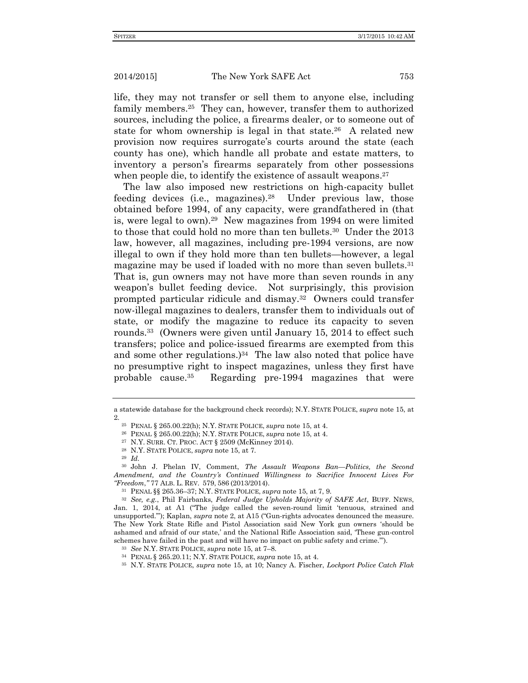life, they may not transfer or sell them to anyone else, including family members.<sup>25</sup> They can, however, transfer them to authorized sources, including the police, a firearms dealer, or to someone out of state for whom ownership is legal in that state.<sup>26</sup> A related new provision now requires surrogate's courts around the state (each county has one), which handle all probate and estate matters, to inventory a person's firearms separately from other possessions when people die, to identify the existence of assault weapons.<sup>27</sup>

The law also imposed new restrictions on high-capacity bullet feeding devices (i.e., magazines).<sup>28</sup> Under previous law, those obtained before 1994, of any capacity, were grandfathered in (that is, were legal to own).<sup>29</sup> New magazines from 1994 on were limited to those that could hold no more than ten bullets.<sup>30</sup> Under the 2013 law, however, all magazines, including pre-1994 versions, are now illegal to own if they hold more than ten bullets—however, a legal magazine may be used if loaded with no more than seven bullets.<sup>31</sup> That is, gun owners may not have more than seven rounds in any weapon's bullet feeding device. Not surprisingly, this provision prompted particular ridicule and dismay.<sup>32</sup> Owners could transfer now-illegal magazines to dealers, transfer them to individuals out of state, or modify the magazine to reduce its capacity to seven rounds.<sup>33</sup> (Owners were given until January 15, 2014 to effect such transfers; police and police-issued firearms are exempted from this and some other regulations.) 34 The law also noted that police have no presumptive right to inspect magazines, unless they first have probable cause.<sup>35</sup> Regarding pre-1994 magazines that were

a statewide database for the background check records); N.Y. STATE POLICE, *supra* note 15, at 2.

<sup>25</sup> PENAL § 265.00.22(h); N.Y. STATE POLICE, *supra* note 15, at 4.

<sup>26</sup> PENAL § 265.00.22(h); N.Y. STATE POLICE, *supra* note 15, at 4.

<sup>27</sup> N.Y. SURR. CT. PROC. ACT § 2509 (McKinney 2014).

<sup>28</sup> N.Y. STATE POLICE, *supra* note 15, at 7.

<sup>29</sup> *Id.*

<sup>30</sup> John J. Phelan IV, Comment, *The Assault Weapons Ban—Politics, the Second Amendment, and the Country's Continued Willingness to Sacrifice Innocent Lives For "Freedom*,*"* 77 ALB. L. REV. 579, 586 (2013/2014).

<sup>31</sup> PENAL §§ 265.36–37; N.Y. STATE POLICE, *supra* note 15, at 7, 9.

<sup>32</sup> *See, e.g.*, Phil Fairbanks, *Federal Judge Upholds Majority of SAFE Act*, BUFF. NEWS, Jan. 1, 2014, at A1 ("The judge called the seven-round limit 'tenuous, strained and unsupported.'"); Kaplan, *supra* note 2, at A15 ("Gun-rights advocates denounced the measure. The New York State Rifle and Pistol Association said New York gun owners 'should be ashamed and afraid of our state,' and the National Rifle Association said, 'These gun-control schemes have failed in the past and will have no impact on public safety and crime.'").

<sup>33</sup> *See* N.Y. STATE POLICE, *supra* note 15, at 7–8.

<sup>34</sup> PENAL § 265.20.11; N.Y. STATE POLICE, *supra* note 15, at 4.

<sup>35</sup> N.Y. STATE POLICE, *supra* note 15, at 10; Nancy A. Fischer, *Lockport Police Catch Flak*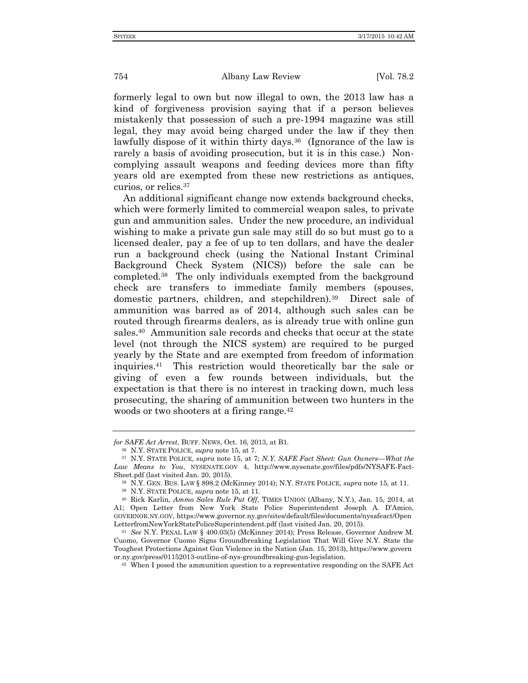formerly legal to own but now illegal to own, the 2013 law has a kind of forgiveness provision saying that if a person believes mistakenly that possession of such a pre-1994 magazine was still legal, they may avoid being charged under the law if they then lawfully dispose of it within thirty days.<sup>36</sup> (Ignorance of the law is rarely a basis of avoiding prosecution, but it is in this case.) Noncomplying assault weapons and feeding devices more than fifty years old are exempted from these new restrictions as antiques, curios, or relics.<sup>37</sup>

An additional significant change now extends background checks, which were formerly limited to commercial weapon sales, to private gun and ammunition sales. Under the new procedure, an individual wishing to make a private gun sale may still do so but must go to a licensed dealer, pay a fee of up to ten dollars, and have the dealer run a background check (using the National Instant Criminal Background Check System (NICS)) before the sale can be completed.<sup>38</sup> The only individuals exempted from the background check are transfers to immediate family members (spouses, domestic partners, children, and stepchildren).<sup>39</sup> Direct sale of ammunition was barred as of 2014, although such sales can be routed through firearms dealers, as is already true with online gun sales.<sup>40</sup> Ammunition sale records and checks that occur at the state level (not through the NICS system) are required to be purged yearly by the State and are exempted from freedom of information inquiries.<sup>41</sup> This restriction would theoretically bar the sale or giving of even a few rounds between individuals, but the expectation is that there is no interest in tracking down, much less prosecuting, the sharing of ammunition between two hunters in the woods or two shooters at a firing range.<sup>42</sup>

*for SAFE Act Arrest*, BUFF. NEWS, Oct. 16, 2013, at B1.

<sup>36</sup> N.Y. STATE POLICE, *supra* note 15, at 7.

<sup>37</sup> N.Y. STATE POLICE, *supra* note 15, at 7; *N.Y. SAFE Fact Sheet: Gun Owners—What the Law Means to You*, NYSENATE.GOV 4, http://www.nysenate.gov/files/pdfs/NYSAFE-Fact-Sheet.pdf (last visited Jan. 20, 2015).

<sup>38</sup> N.Y. GEN. BUS. LAW § 898.2 (McKinney 2014); N.Y. STATE POLICE, *supra* note 15, at 11.

<sup>39</sup> N.Y. STATE POLICE, *supra* note 15, at 11.

<sup>40</sup> Rick Karlin, *Ammo Sales Rule Put Off*, TIMES UNION (Albany, N.Y.), Jan. 15, 2014, at A1; Open Letter from New York State Police Superintendent Joseph A. D'Amico, GOVERNOR.NY.GOV, https://www.governor.ny.gov/sites/default/files/documents/nysafeact/Open LetterfromNewYorkStatePoliceSuperintendent.pdf (last visited Jan. 20, 2015).

<sup>41</sup> *See* N.Y. PENAL LAW § 400.03(5) (McKinney 2014); Press Release, Governor Andrew M. Cuomo, Governor Cuomo Signs Groundbreaking Legislation That Will Give N.Y. State the Toughest Protections Against Gun Violence in the Nation (Jan. 15, 2013), https://www.govern or.ny.gov/press/01152013-outline-of-nys-groundbreaking-gun-legislation.

<sup>42</sup> When I posed the ammunition question to a representative responding on the SAFE Act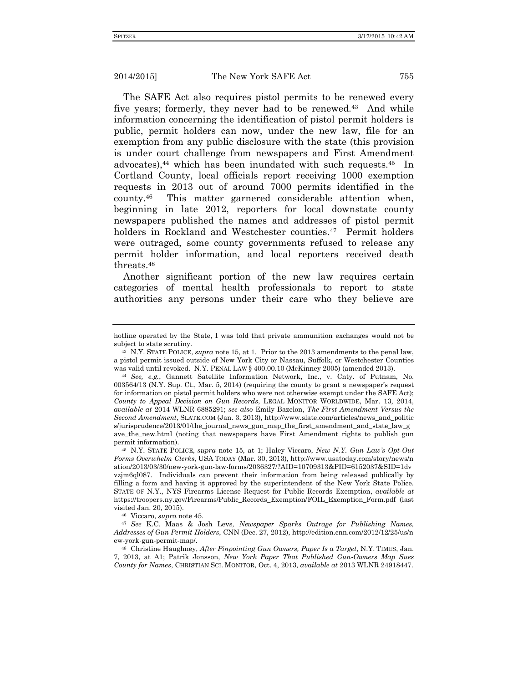The SAFE Act also requires pistol permits to be renewed every five years; formerly, they never had to be renewed.<sup>43</sup> And while information concerning the identification of pistol permit holders is public, permit holders can now, under the new law, file for an exemption from any public disclosure with the state (this provision is under court challenge from newspapers and First Amendment advocates), <sup>44</sup> which has been inundated with such requests.<sup>45</sup> In Cortland County, local officials report receiving 1000 exemption requests in 2013 out of around 7000 permits identified in the county.<sup>46</sup> This matter garnered considerable attention when, beginning in late 2012, reporters for local downstate county newspapers published the names and addresses of pistol permit holders in Rockland and Westchester counties.<sup>47</sup> Permit holders were outraged, some county governments refused to release any permit holder information, and local reporters received death threats.<sup>48</sup>

Another significant portion of the new law requires certain categories of mental health professionals to report to state authorities any persons under their care who they believe are

<sup>46</sup> Viccaro, *supra* note 45.

<sup>47</sup> *See* K.C. Maas & Josh Levs, *Newspaper Sparks Outrage for Publishing Names, Addresses of Gun Permit Holders*, CNN (Dec. 27, 2012), http://edition.cnn.com/2012/12/25/us/n ew-york-gun-permit-map/.

<sup>48</sup> Christine Haughney, *After Pinpointing Gun Owners, Paper Is a Target*, N.Y. TIMES, Jan. 7, 2013, at A1; Patrik Jonsson, *New York Paper That Published Gun-Owners Map Sues County for Names*, CHRISTIAN SCI. MONITOR, Oct. 4, 2013, *available at* 2013 WLNR 24918447.

hotline operated by the State, I was told that private ammunition exchanges would not be subject to state scrutiny.

<sup>43</sup> N.Y. STATE POLICE, *supra* note 15, at 1. Prior to the 2013 amendments to the penal law, a pistol permit issued outside of New York City or Nassau, Suffolk, or Westchester Counties was valid until revoked. N.Y. PENAL LAW § 400.00.10 (McKinney 2005) (amended 2013).

<sup>44</sup> *See, e.g.*, Gannett Satellite Information Network, Inc., v. Cnty. of Putnam, No. 003564/13 (N.Y. Sup. Ct., Mar. 5, 2014) (requiring the county to grant a newspaper's request for information on pistol permit holders who were not otherwise exempt under the SAFE Act); *County to Appeal Decision on Gun Records*, LEGAL MONITOR WORLDWIDE, Mar. 13, 2014, *available at* 2014 WLNR 6885291; *see also* Emily Bazelon, *The First Amendment Versus the Second Amendment*, SLATE.COM (Jan. 3, 2013), http://www.slate.com/articles/news\_and\_politic s/jurisprudence/2013/01/the journal news gun map the first amendment and state law g ave\_the\_new.html (noting that newspapers have First Amendment rights to publish gun permit information).

<sup>45</sup> N.Y. STATE POLICE, *supra* note 15, at 1; Haley Viccaro, *New N.Y. Gun Law's Opt-Out Forms Overwhelm Clerks*, USA TODAY (Mar. 30, 2013), http://www.usatoday.com/story/news/n ation/2013/03/30/new-york-gun-law-forms/2036327/?AID=10709313&PID=6152037&SID=1dv vzjm6ql087. Individuals can prevent their information from being released publically by filling a form and having it approved by the superintendent of the New York State Police. STATE OF N.Y., NYS Firearms License Request for Public Records Exemption, *available at* https://troopers.ny.gov/Firearms/Public\_Records\_Exemption/FOIL\_Exemption\_Form.pdf (last visited Jan. 20, 2015).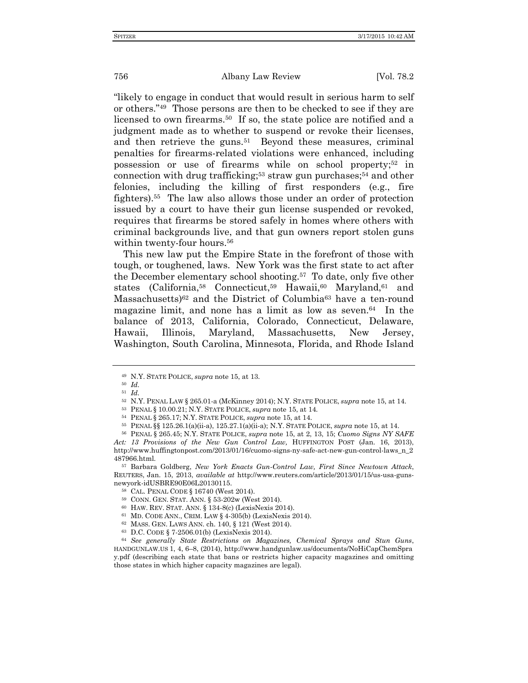"likely to engage in conduct that would result in serious harm to self or others."<sup>49</sup> Those persons are then to be checked to see if they are licensed to own firearms.<sup>50</sup> If so, the state police are notified and a judgment made as to whether to suspend or revoke their licenses, and then retrieve the guns.<sup>51</sup> Beyond these measures, criminal penalties for firearms-related violations were enhanced, including possession or use of firearms while on school property; <sup>52</sup> in connection with drug trafficking; <sup>53</sup> straw gun purchases; <sup>54</sup> and other felonies, including the killing of first responders (e.g., fire fighters).<sup>55</sup> The law also allows those under an order of protection issued by a court to have their gun license suspended or revoked, requires that firearms be stored safely in homes where others with criminal backgrounds live, and that gun owners report stolen guns within twenty-four hours.<sup>56</sup>

This new law put the Empire State in the forefront of those with tough, or toughened, laws. New York was the first state to act after the December elementary school shooting.<sup>57</sup> To date, only five other states (California,<sup>58</sup> Connecticut,<sup>59</sup> Hawaii,<sup>60</sup> Maryland,<sup>61</sup> and Massachusetts)<sup>62</sup> and the District of Columbia<sup>63</sup> have a ten-round magazine limit, and none has a limit as low as seven.<sup>64</sup> In the balance of 2013, California, Colorado, Connecticut, Delaware, Hawaii, Illinois, Maryland, Massachusetts, New Jersey, Washington, South Carolina, Minnesota, Florida, and Rhode Island

<sup>57</sup> Barbara Goldberg, *New York Enacts Gun-Control Law, First Since Newtown Attack*, REUTERS, Jan. 15, 2013, *available at* [http://www.reuters.com/article/2013/01/15/us-usa-guns](http://www.reuters.com/article/2013/01/15/us-usa-guns-newyork-idUSBRE90E06L20130115)[newyork-idUSBRE90E06L20130115.](http://www.reuters.com/article/2013/01/15/us-usa-guns-newyork-idUSBRE90E06L20130115)

<sup>64</sup> *See generally State Restrictions on Magazines, Chemical Sprays and Stun Guns*, HANDGUNLAW.US 1, 4, 6–8, (2014), http://www.handgunlaw.us/documents/NoHiCapChemSpra y.pdf (describing each state that bans or restricts higher capacity magazines and omitting those states in which higher capacity magazines are legal).

<sup>49</sup> N.Y. STATE POLICE, *supra* note 15, at 13.

<sup>50</sup> *Id.* <sup>51</sup> *Id.*

<sup>52</sup> N.Y. PENAL LAW § 265.01-a (McKinney 2014); N.Y. STATE POLICE, *supra* note 15, at 14.

<sup>53</sup> PENAL § 10.00.21; N.Y. STATE POLICE, *supra* note 15, at 14.

<sup>54</sup> PENAL § 265.17; N.Y. STATE POLICE, *supra* note 15, at 14.

<sup>55</sup> PENAL §§ 125.26.1(a)(ii-a), 125.27.1(a)(ii-a); N.Y. STATE POLICE, *supra* note 15, at 14.

<sup>56</sup> PENAL § 265.45; N.Y. STATE POLICE, *supra* note 15, at 2, 13, 15; *Cuomo Signs NY SAFE Act: 13 Provisions of the New Gun Control Law,* HUFFINGTON POST (Jan. 16, 2013), http://www.huffingtonpost.com/2013/01/16/cuomo-signs-ny-safe-act-new-gun-control-laws\_n\_2 487966.html.

<sup>58</sup> CAL. PENAL CODE § 16740 (West 2014).

<sup>59</sup> CONN. GEN. STAT. ANN. § 53-202w (West 2014).

<sup>60</sup> HAW. REV. STAT. ANN. § 134-8(c) (LexisNexis 2014).

<sup>61</sup> MD. CODE ANN., CRIM. LAW § 4-305(b) (LexisNexis 2014).

<sup>62</sup> MASS. GEN. LAWS ANN. ch. 140, § 121 (West 2014).

<sup>63</sup> D.C. CODE § 7-2506.01(b) (LexisNexis 2014).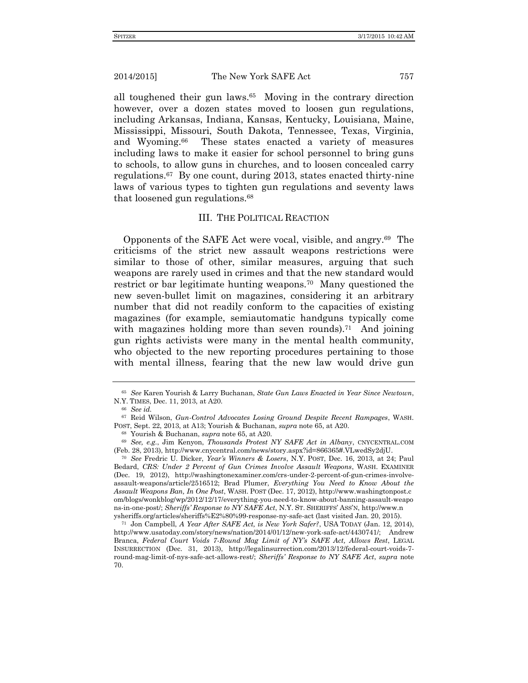all toughened their gun laws.<sup>65</sup> Moving in the contrary direction however, over a dozen states moved to loosen gun regulations, including Arkansas, Indiana, Kansas, Kentucky, Louisiana, Maine, Mississippi, Missouri, South Dakota, Tennessee, Texas, Virginia, and Wyoming.<sup>66</sup> These states enacted a variety of measures including laws to make it easier for school personnel to bring guns to schools, to allow guns in churches, and to loosen concealed carry regulations.<sup>67</sup> By one count, during 2013, states enacted thirty-nine laws of various types to tighten gun regulations and seventy laws that loosened gun regulations.<sup>68</sup>

# III. THE POLITICAL REACTION

Opponents of the SAFE Act were vocal, visible, and angry.<sup>69</sup> The criticisms of the strict new assault weapons restrictions were similar to those of other, similar measures, arguing that such weapons are rarely used in crimes and that the new standard would restrict or bar legitimate hunting weapons.<sup>70</sup> Many questioned the new seven-bullet limit on magazines, considering it an arbitrary number that did not readily conform to the capacities of existing magazines (for example, semiautomatic handguns typically come with magazines holding more than seven rounds).<sup>71</sup> And joining gun rights activists were many in the mental health community, who objected to the new reporting procedures pertaining to those with mental illness, fearing that the new law would drive gun

<sup>70</sup> *See* Fredric U. Dicker, *Year's Winners & Losers*, N.Y. POST, Dec. 16, 2013, at 24; Paul Bedard, *CRS: Under 2 Percent of Gun Crimes Involve Assault Weapons*, WASH. EXAMINER (Dec. 19, 2012), http://washingtonexaminer.com/crs-under-2-percent-of-gun-crimes-involveassault-weapons/article/2516512; Brad Plumer, *Everything You Need to Know About the Assault Weapons Ban, In One Post*, WASH. POST (Dec. 17, 2012), http://www.washingtonpost.c om/blogs/wonkblog/wp/2012/12/17/everything-you-need-to-know-about-banning-assault-weapo ns-in-one-post/; *Sheriffs' Response to NY SAFE Act*, N.Y. ST. SHERIFFS' ASS'N, http://www.n ysheriffs.org/articles/sheriffs%E2%80%99-response-ny-safe-act (last visited Jan. 20, 2015).

<sup>71</sup> Jon Campbell, *A Year After SAFE Act, is New York Safer?*, USA TODAY (Jan. 12, 2014), http://www.usatoday.com/story/news/nation/2014/01/12/new-york-safe-act/4430741/; Andrew Branca, *Federal Court Voids 7-Round Mag Limit of NY's SAFE Act, Allows Rest*, LEGAL INSURRECTION (Dec. 31, 2013), http://legalinsurrection.com/2013/12/federal-court-voids-7 round-mag-limit-of-nys-safe-act-allows-rest/; *Sheriffs' Response to NY SAFE Act*, *supra* note 70.

<sup>65</sup> *See* Karen Yourish & Larry Buchanan, *State Gun Laws Enacted in Year Since Newtown*, N.Y. TIMES, Dec. 11, 2013, at A20.

<sup>66</sup> *See id.*

<sup>67</sup> Reid Wilson, *Gun-Control Advocates Losing Ground Despite Recent Rampages*, WASH. POST, Sept. 22, 2013, at A13; Yourish & Buchanan, *supra* note 65, at A20.

<sup>68</sup> Yourish & Buchanan, *supra* note 65, at A20.

<sup>69</sup> *See, e.g.*, Jim Kenyon, *Thousands Protest NY SAFE Act in Albany*, CNYCENTRAL.COM (Feb. 28, 2013), http://www.cnycentral.com/news/story.aspx?id=866365#.VLwedSy2djU.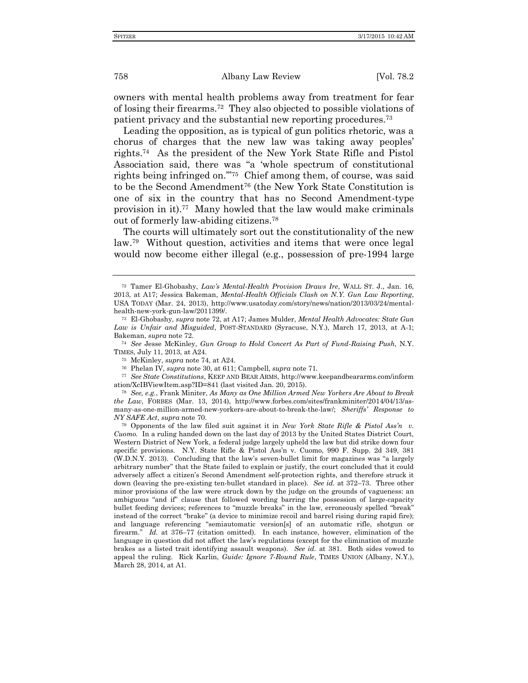owners with mental health problems away from treatment for fear of losing their firearms.<sup>72</sup> They also objected to possible violations of patient privacy and the substantial new reporting procedures.<sup>73</sup>

Leading the opposition, as is typical of gun politics rhetoric, was a chorus of charges that the new law was taking away peoples' rights.<sup>74</sup> As the president of the New York State Rifle and Pistol Association said, there was "a 'whole spectrum of constitutional rights being infringed on.'"<sup>75</sup> Chief among them, of course, was said to be the Second Amendment<sup>76</sup> (the New York State Constitution is one of six in the country that has no Second Amendment-type provision in it).<sup>77</sup> Many howled that the law would make criminals out of formerly law-abiding citizens.<sup>78</sup>

The courts will ultimately sort out the constitutionality of the new law.<sup>79</sup> Without question, activities and items that were once legal would now become either illegal (e.g., possession of pre-1994 large

<sup>72</sup> Tamer El-Ghobashy, *Law's Mental-Health Provision Draws Ire*, WALL ST. J., Jan. 16, 2013, at A17; Jessica Bakeman, *Mental-Health Officials Clash on N.Y. Gun Law Reporting*, USA TODAY (Mar. 24, 2013), http://www.usatoday.com/story/news/nation/2013/03/24/mentalhealth-new-york-gun-law/2011399/.

<sup>73</sup> El-Ghobashy, *supra* note 72, at A17; James Mulder, *Mental Health Advocates: State Gun Law is Unfair and Misguided*, POST-STANDARD (Syracuse, N.Y.), March 17, 2013, at A-1; Bakeman, *supra* note 72.

<sup>74</sup> *See* Jesse McKinley, *Gun Group to Hold Concert As Part of Fund-Raising Push*, N.Y. TIMES, July 11, 2013, at A24.

<sup>75</sup> McKinley, *supra* note 74, at A24.

<sup>76</sup> Phelan IV, *supra* note 30, at 611; Campbell, *supra* note 71.

<sup>77</sup> *See State Constitutions*, KEEP AND BEAR ARMS, http://www.keepandbeararms.com/inform ation/XcIBViewItem.asp?ID=841 (last visited Jan. 20, 2015).

<sup>78</sup> *See, e.g.*, Frank Miniter, *As Many as One Million Armed New Yorkers Are About to Break the Law*, FORBES (Mar. 13, 2014), http://www.forbes.com/sites/frankminiter/2014/04/13/asmany-as-one-million-armed-new-yorkers-are-about-to-break-the-law/; *Sheriffs' Response to NY SAFE Act*, *supra* note 70.

<sup>79</sup> Opponents of the law filed suit against it in *New York State Rifle & Pistol Ass'n v. Cuomo.* In a ruling handed down on the last day of 2013 by the United States District Court, Western District of New York, a federal judge largely upheld the law but did strike down four specific provisions. N.Y. State Rifle & Pistol Ass'n v. Cuomo, 990 F. Supp. 2d 349, 381 (W.D.N.Y. 2013). Concluding that the law's seven-bullet limit for magazines was "a largely arbitrary number" that the State failed to explain or justify, the court concluded that it could adversely affect a citizen's Second Amendment self-protection rights, and therefore struck it down (leaving the pre-existing ten-bullet standard in place). *See id.* at 372–73. Three other minor provisions of the law were struck down by the judge on the grounds of vagueness: an ambiguous "and if" clause that followed wording barring the possession of large-capacity bullet feeding devices; references to "muzzle breaks" in the law, erroneously spelled "break" instead of the correct "brake" (a device to minimize recoil and barrel rising during rapid fire); and language referencing "semiautomatic version[s] of an automatic rifle, shotgun or firearm." *Id.* at 376–77 (citation omitted).In each instance, however, elimination of the language in question did not affect the law's regulations (except for the elimination of muzzle brakes as a listed trait identifying assault weapons). *See id.* at 381. Both sides vowed to appeal the ruling. Rick Karlin, *Guide: Ignore 7-Round Rule*, TIMES UNION (Albany, N.Y.), March 28, 2014, at A1.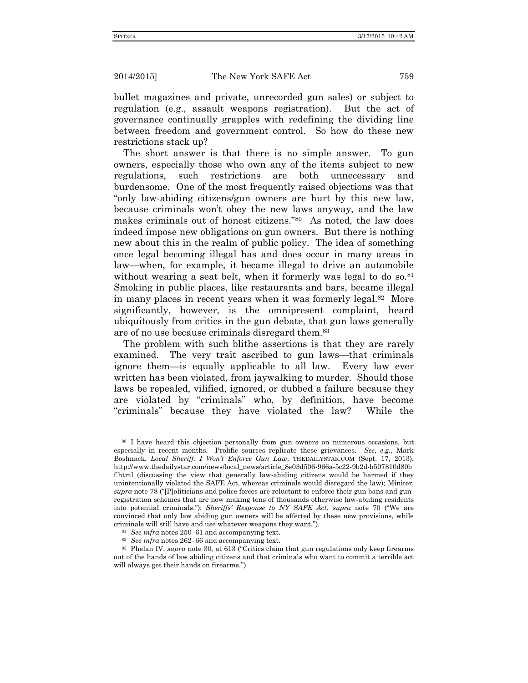bullet magazines and private, unrecorded gun sales) or subject to regulation (e.g., assault weapons registration). But the act of governance continually grapples with redefining the dividing line between freedom and government control. So how do these new restrictions stack up?

The short answer is that there is no simple answer. To gun owners, especially those who own any of the items subject to new regulations, such restrictions are both unnecessary and burdensome. One of the most frequently raised objections was that "only law-abiding citizens/gun owners are hurt by this new law, because criminals won't obey the new laws anyway, and the law makes criminals out of honest citizens."<sup>80</sup> As noted, the law does indeed impose new obligations on gun owners. But there is nothing new about this in the realm of public policy. The idea of something once legal becoming illegal has and does occur in many areas in law—when, for example, it became illegal to drive an automobile without wearing a seat belt, when it formerly was legal to do so.<sup>81</sup> Smoking in public places, like restaurants and bars, became illegal in many places in recent years when it was formerly legal.<sup>82</sup> More significantly, however, is the omnipresent complaint, heard ubiquitously from critics in the gun debate, that gun laws generally are of no use because criminals disregard them.<sup>83</sup>

The problem with such blithe assertions is that they are rarely examined. The very trait ascribed to gun laws—that criminals ignore them—is equally applicable to all law. Every law ever written has been violated, from jaywalking to murder. Should those laws be repealed, vilified, ignored, or dubbed a failure because they are violated by "criminals" who, by definition, have become "criminals" because they have violated the law? While the

<sup>80</sup> I have heard this objection personally from gun owners on numerous occasions, but especially in recent months. Prolific sources replicate these grievances. *See, e.g.*, Mark Boshnack, *Local Sheriff: I Won't Enforce Gun Law*, THEDAILYSTAR.COM (Sept. 17, 2013), http://www.thedailystar.com/news/local\_news/article\_8e03d506-966a-5c22-9b2d-b507810d80b f.html (discussing the view that generally law-abiding citizens would be harmed if they unintentionally violated the SAFE Act, whereas criminals would disregard the law); Miniter, *supra* note 78 ("P oliticians and police forces are reluctant to enforce their gun bans and gunregistration schemes that are now making tens of thousands otherwise law-abiding residents into potential criminals."); *Sheriffs' Response to NY SAFE Act*, *supra* note 70 ("We are convinced that only law abiding gun owners will be affected by these new provisions, while criminals will still have and use whatever weapons they want.").

<sup>81</sup> *See infra* notes 250–61 and accompanying text.

<sup>82</sup> *See infra* notes 262–66 and accompanying text.

<sup>83</sup> Phelan IV, *supra* note 30, at 613 ("Critics claim that gun regulations only keep firearms out of the hands of law abiding citizens and that criminals who want to commit a terrible act will always get their hands on firearms.").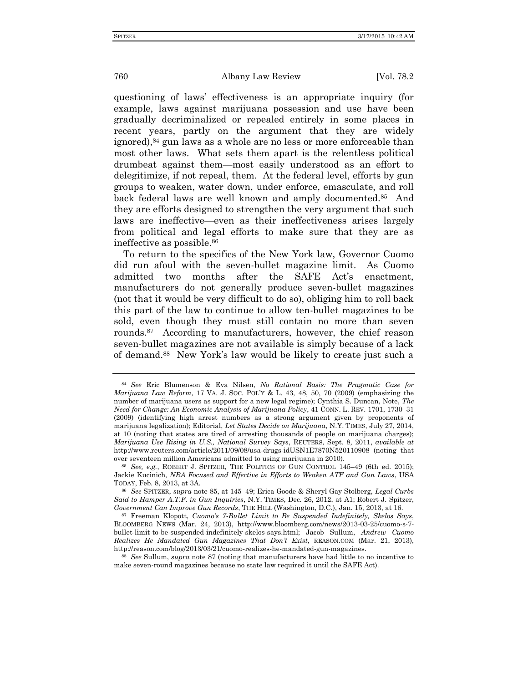questioning of laws' effectiveness is an appropriate inquiry (for example, laws against marijuana possession and use have been gradually decriminalized or repealed entirely in some places in recent years, partly on the argument that they are widely ignored),<sup>84</sup> gun laws as a whole are no less or more enforceable than most other laws. What sets them apart is the relentless political drumbeat against them—most easily understood as an effort to delegitimize, if not repeal, them. At the federal level, efforts by gun groups to weaken, water down, under enforce, emasculate, and roll back federal laws are well known and amply documented.<sup>85</sup> And they are efforts designed to strengthen the very argument that such laws are ineffective—even as their ineffectiveness arises largely from political and legal efforts to make sure that they are as ineffective as possible.<sup>86</sup>

To return to the specifics of the New York law, Governor Cuomo did run afoul with the seven-bullet magazine limit. As Cuomo admitted two months after the SAFE Act's enactment, manufacturers do not generally produce seven-bullet magazines (not that it would be very difficult to do so), obliging him to roll back this part of the law to continue to allow ten-bullet magazines to be sold, even though they must still contain no more than seven rounds.<sup>87</sup> According to manufacturers, however, the chief reason seven-bullet magazines are not available is simply because of a lack of demand.<sup>88</sup> New York's law would be likely to create just such a

<sup>84</sup> *See* Eric Blumenson & Eva Nilsen, *No Rational Basis: The Pragmatic Case for Marijuana Law Reform,* 17 VA. J. SOC. POL'Y & L. 43, 48, 50, 70 (2009) (emphasizing the number of marijuana users as support for a new legal regime); Cynthia S. Duncan, Note, *The Need for Change: An Economic Analysis of Marijuana Policy*, 41 CONN. L. REV. 1701, 1730–31 (2009) (identifying high arrest numbers as a strong argument given by proponents of marijuana legalization); Editorial, *Let States Decide on Marijuana*, N.Y. TIMES, July 27, 2014, at 10 (noting that states are tired of arresting thousands of people on marijuana charges); *Marijuana Use Rising in U.S., National Survey Says*, REUTERS, Sept. 8, 2011, *available at* http://www.reuters.com/article/2011/09/08/usa-drugs-idUSN1E7870N520110908 (noting that over seventeen million Americans admitted to using marijuana in 2010).

<sup>85</sup> *See, e.g.*, ROBERT J. SPITZER, THE POLITICS OF GUN CONTROL 145–49 (6th ed. 2015); Jackie Kucinich, *NRA Focused and Effective in Efforts to Weaken ATF and Gun Laws*, USA TODAY, Feb. 8, 2013, at 3A.

<sup>86</sup> *See* SPITZER, *supra* note 85, at 145–49; Erica Goode & Sheryl Gay Stolberg, *Legal Curbs Said to Hamper A.T.F. in Gun Inquiries*, N.Y. TIMES, Dec. 26, 2012, at A1; Robert J. Spitzer, *Government Can Improve Gun Records*, THE HILL (Washington, D.C.), Jan. 15, 2013, at 16.

<sup>87</sup> Freeman Klopott, *Cuomo's 7-Bullet Limit to Be Suspended Indefinitely, Skelos Says*, BLOOMBERG NEWS (Mar. 24, 2013), http://www.bloomberg.com/news/2013-03-25/cuomo-s-7 bullet-limit-to-be-suspended-indefinitely-skelos-says.html; Jacob Sullum, *Andrew Cuomo Realizes He Mandated Gun Magazines That Don't Exist*, REASON.COM (Mar. 21, 2013), http://reason.com/blog/2013/03/21/cuomo-realizes-he-mandated-gun-magazines.

<sup>88</sup> *See* Sullum, *supra* note 87 (noting that manufacturers have had little to no incentive to make seven-round magazines because no state law required it until the SAFE Act).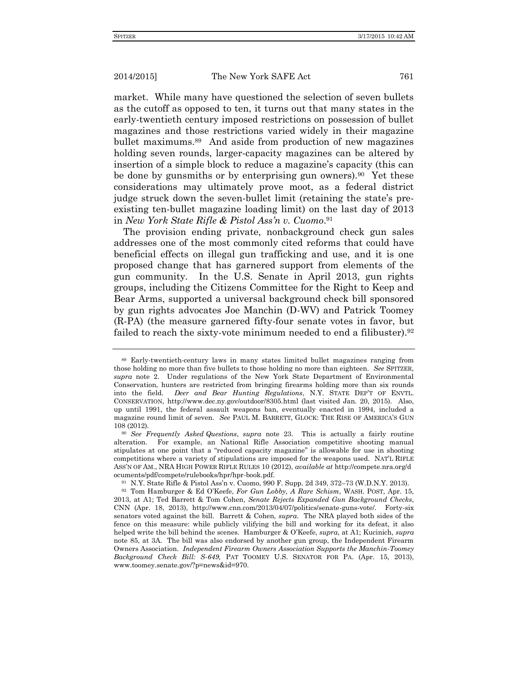market. While many have questioned the selection of seven bullets as the cutoff as opposed to ten, it turns out that many states in the early-twentieth century imposed restrictions on possession of bullet magazines and those restrictions varied widely in their magazine bullet maximums.<sup>89</sup> And aside from production of new magazines holding seven rounds, larger-capacity magazines can be altered by insertion of a simple block to reduce a magazine's capacity (this can be done by gunsmiths or by enterprising gun owners).<sup>90</sup> Yet these considerations may ultimately prove moot, as a federal district judge struck down the seven-bullet limit (retaining the state's preexisting ten-bullet magazine loading limit) on the last day of 2013 in *New York State Rifle & Pistol Ass'n v. Cuomo*. 91

The provision ending private, nonbackground check gun sales addresses one of the most commonly cited reforms that could have beneficial effects on illegal gun trafficking and use, and it is one proposed change that has garnered support from elements of the gun community. In the U.S. Senate in April 2013, gun rights groups, including the Citizens Committee for the Right to Keep and Bear Arms, supported a universal background check bill sponsored by gun rights advocates Joe Manchin (D-WV) and Patrick Toomey (R-PA) (the measure garnered fifty-four senate votes in favor, but failed to reach the sixty-vote minimum needed to end a filibuster).<sup>92</sup>

<sup>89</sup> Early-twentieth-century laws in many states limited bullet magazines ranging from those holding no more than five bullets to those holding no more than eighteen. *See* SPITZER, *supra* note 2. Under regulations of the New York State Department of Environmental Conservation, hunters are restricted from bringing firearms holding more than six rounds into the field. *Deer and Bear Hunting Regulations*, N.Y. STATE DEP'T OF ENVTL. CONSERVATION, http://www.dec.ny.gov/outdoor/8305.html (last visited Jan. 20, 2015). Also, up until 1991, the federal assault weapons ban, eventually enacted in 1994, included a magazine round limit of seven. *See* PAUL M. BARRETT, GLOCK: THE RISE OF AMERICA'S GUN 108 (2012).

<sup>90</sup> *See Frequently Asked Questions*, *supra* note 23. This is actually a fairly routine alteration. For example, an National Rifle Association competitive shooting manual stipulates at one point that a "reduced capacity magazine" is allowable for use in shooting competitions where a variety of stipulations are imposed for the weapons used. NAT'L RIFLE ASS'N OF AM., NRA HIGH POWER RIFLE RULES 10 (2012), *available at* http://compete.nra.org/d ocuments/pdf/compete/rulebooks/hpr/hpr-book.pdf.

<sup>91</sup> N.Y. State Rifle & Pistol Ass'n v. Cuomo, 990 F. Supp. 2d 349, 372–73 (W.D.N.Y. 2013).

<sup>92</sup> Tom Hamburger & Ed O'Keefe, *For Gun Lobby, A Rare Schism*, WASH. POST, Apr. 15, 2013, at A1; Ted Barrett & Tom Cohen, *Senate Rejects Expanded Gun Background Checks*, CNN (Apr. 18, 2013), http://www.cnn.com/2013/04/07/politics/senate-guns-vote/. Forty-six senators voted against the bill. Barrett & Cohen, *supra*. The NRA played both sides of the fence on this measure: while publicly vilifying the bill and working for its defeat, it also helped write the bill behind the scenes. Hamburger & O'Keefe, *supra*, at A1; Kucinich, *supra*  note 85, at 3A. The bill was also endorsed by another gun group, the Independent Firearm Owners Association. *Independent Firearm Owners Association Supports the Manchin-Toomey Background Check Bill: S-649,* PAT TOOMEY U.S. SENATOR FOR PA. (Apr. 15, 2013), www.toomey.senate.gov/?p=news&id=970.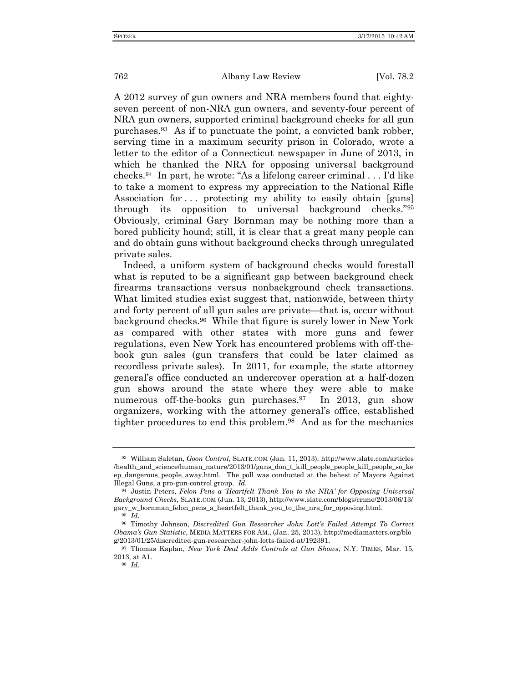A 2012 survey of gun owners and NRA members found that eightyseven percent of non-NRA gun owners, and seventy-four percent of NRA gun owners, supported criminal background checks for all gun purchases.<sup>93</sup> As if to punctuate the point, a convicted bank robber, serving time in a maximum security prison in Colorado, wrote a letter to the editor of a Connecticut newspaper in June of 2013, in which he thanked the NRA for opposing universal background checks.<sup>94</sup> In part, he wrote: "As a lifelong career criminal . . . I'd like to take a moment to express my appreciation to the National Rifle Association for ... protecting my ability to easily obtain [guns] through its opposition to universal background checks."<sup>95</sup> Obviously, criminal Gary Bornman may be nothing more than a bored publicity hound; still, it is clear that a great many people can and do obtain guns without background checks through unregulated private sales.

Indeed, a uniform system of background checks would forestall what is reputed to be a significant gap between background check firearms transactions versus nonbackground check transactions. What limited studies exist suggest that, nationwide, between thirty and forty percent of all gun sales are private—that is, occur without background checks.<sup>96</sup> While that figure is surely lower in New York as compared with other states with more guns and fewer regulations, even New York has encountered problems with off-thebook gun sales (gun transfers that could be later claimed as recordless private sales). In 2011, for example, the state attorney general's office conducted an undercover operation at a half-dozen gun shows around the state where they were able to make numerous off-the-books gun purchases.<sup>97</sup> In 2013, gun show organizers, working with the attorney general's office, established tighter procedures to end this problem.<sup>98</sup> And as for the mechanics

<sup>93</sup> William Saletan, *Goon Control*, SLATE.COM (Jan. 11, 2013), http://www.slate.com/articles /health\_and\_science/human\_nature/2013/01/guns\_don\_t\_kill\_people\_people\_kill\_people\_so\_ke ep\_dangerous\_people\_away.html. The poll was conducted at the behest of Mayors Against Illegal Guns, a pro-gun-control group. *Id.*

<sup>94</sup> Justin Peters, *Felon Pens a 'Heartfelt Thank You to the NRA' for Opposing Universal Background Checks*, SLATE.COM (Jun. 13, 2013), http://www.slate.com/blogs/crime/2013/06/13/ gary\_w\_bornman\_felon\_pens\_a\_heartfelt\_thank\_you\_to\_the\_nra\_for\_opposing.html.

<sup>95</sup> *Id.*

<sup>96</sup> Timothy Johnson, *Discredited Gun Researcher John Lott's Failed Attempt To Correct Obama's Gun Statistic*, MEDIA MATTERS FOR AM., (Jan. 25, 2013), http://mediamatters.org/blo g/2013/01/25/discredited-gun-researcher-john-lotts-failed-at/192391.

<sup>97</sup> Thomas Kaplan, *New York Deal Adds Controls at Gun Shows*, N.Y. TIMES*,* Mar. 15, 2013, at A1.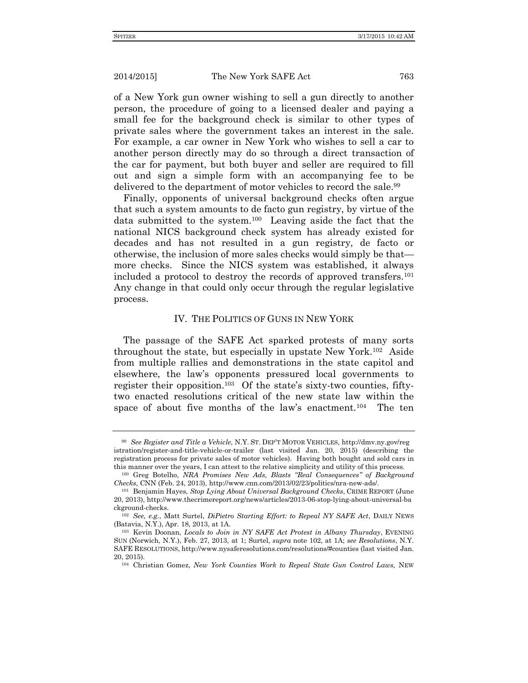of a New York gun owner wishing to sell a gun directly to another person, the procedure of going to a licensed dealer and paying a small fee for the background check is similar to other types of private sales where the government takes an interest in the sale. For example, a car owner in New York who wishes to sell a car to another person directly may do so through a direct transaction of the car for payment, but both buyer and seller are required to fill out and sign a simple form with an accompanying fee to be delivered to the department of motor vehicles to record the sale.<sup>99</sup>

Finally, opponents of universal background checks often argue that such a system amounts to de facto gun registry, by virtue of the data submitted to the system.<sup>100</sup> Leaving aside the fact that the national NICS background check system has already existed for decades and has not resulted in a gun registry, de facto or otherwise, the inclusion of more sales checks would simply be that more checks. Since the NICS system was established, it always included a protocol to destroy the records of approved transfers.<sup>101</sup> Any change in that could only occur through the regular legislative process.

# IV. THE POLITICS OF GUNS IN NEW YORK

The passage of the SAFE Act sparked protests of many sorts throughout the state, but especially in upstate New York.<sup>102</sup> Aside from multiple rallies and demonstrations in the state capitol and elsewhere, the law's opponents pressured local governments to register their opposition.<sup>103</sup> Of the state's sixty-two counties, fiftytwo enacted resolutions critical of the new state law within the space of about five months of the law's enactment.<sup>104</sup> The ten

<sup>99</sup> *See Register and Title a Vehicle*, N.Y. ST. DEP'T MOTOR VEHICLES, http://dmv.ny.gov/reg istration/register-and-title-vehicle-or-trailer (last visited Jan. 20, 2015) (describing the registration process for private sales of motor vehicles). Having both bought and sold cars in this manner over the years, I can attest to the relative simplicity and utility of this process.

<sup>100</sup> Greg Botelho, *NRA Promises New Ads, Blasts "Real Consequences" of Background Checks*, CNN (Feb. 24, 2013), http://www.cnn.com/2013/02/23/politics/nra-new-ads/.

<sup>101</sup> Benjamin Hayes, *Stop Lying About Universal Background Checks*, CRIME REPORT (June 20, 2013), http://www.thecrimereport.org/news/articles/2013-06-stop-lying-about-universal-ba ckground-checks.

<sup>102</sup> *See, e.g.*, Matt Surtel, *DiPietro Starting Effort: to Repeal NY SAFE Act*, DAILY NEWS (Batavia, N.Y.), Apr. 18, 2013, at 1A.

<sup>103</sup> Kevin Doonan, *Locals to Join in NY SAFE Act Protest in Albany Thursday*, EVENING SUN (Norwich, N.Y.), Feb. 27, 2013, at 1; Surtel, *supra* note 102, at 1A; *see Resolutions*, N.Y. SAFE RESOLUTIONS, http://www.nysaferesolutions.com/resolutions/#counties (last visited Jan. 20, 2015).

<sup>104</sup> Christian Gomez, *New York Counties Work to Repeal State Gun Control Laws,* NEW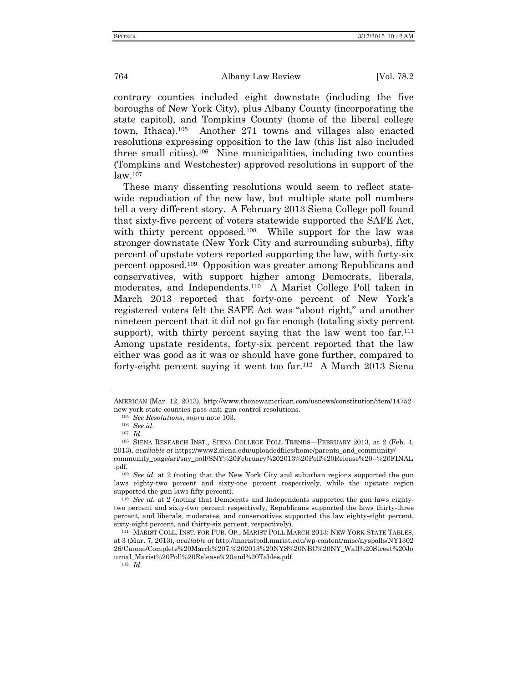contrary counties included eight downstate (including the five boroughs of New York City), plus Albany County (incorporating the state capitol), and Tompkins County (home of the liberal college town, Ithaca).<sup>105</sup> Another 271 towns and villages also enacted resolutions expressing opposition to the law (this list also included three small cities).<sup>106</sup> Nine municipalities, including two counties (Tompkins and Westchester) approved resolutions in support of the law.<sup>107</sup>

These many dissenting resolutions would seem to reflect statewide repudiation of the new law, but multiple state poll numbers tell a very different story. A February 2013 Siena College poll found that sixty-five percent of voters statewide supported the SAFE Act, with thirty percent opposed.<sup>108</sup> While support for the law was stronger downstate (New York City and surrounding suburbs), fifty percent of upstate voters reported supporting the law, with forty-six percent opposed.<sup>109</sup> Opposition was greater among Republicans and conservatives, with support higher among Democrats, liberals, moderates, and Independents.<sup>110</sup> A Marist College Poll taken in March 2013 reported that forty-one percent of New York's registered voters felt the SAFE Act was "about right," and another nineteen percent that it did not go far enough (totaling sixty percent support), with thirty percent saying that the law went too  $far.^{111}$ Among upstate residents, forty-six percent reported that the law either was good as it was or should have gone further, compared to forty-eight percent saying it went too far.<sup>112</sup> A March 2013 Siena

AMERICAN (Mar. 12, 2013), http://www.thenewamerican.com/usnews/constitution/item/14752 new-york-state-counties-pass-anti-gun-control-resolutions.

<sup>105</sup> *See Resolutions*, *supra* note 103.

<sup>106</sup> *See id.*

<sup>107</sup> *Id*.

<sup>108</sup> SIENA RESEARCH INST., SIENA COLLEGE POLL TRENDS—FEBRUARY 2013, at 2 (Feb. 4, 2013), *available at* https://www2.siena.edu/uploadedfiles/home/parents\_and\_community/ community\_page/sri/sny\_poll/SNY%20February%202013%20Poll%20Release%20--%20FINAL .pdf*.*

<sup>&</sup>lt;sup>109</sup> *See id.* at 2 (noting that the New York City and suburban regions supported the gun laws eighty-two percent and sixty-one percent respectively, while the upstate region supported the gun laws fifty percent).

<sup>110</sup> *See id*. at 2 (noting that Democrats and Independents supported the gun laws eightytwo percent and sixty-two percent respectively, Republicans supported the laws thirty-three percent, and liberals, moderates, and conservatives supported the law eighty-eight percent, sixty-eight percent, and thirty-six percent, respectively).

<sup>111</sup> MARIST COLL. INST. FOR PUB. OP., MARIST POLL MARCH 2013: NEW YORK STATE TABLES, at 3 (Mar. 7, 2013), *available at* http://maristpoll.marist.edu/wp-content/misc/nyspolls/NY1302 26/Cuomo/Complete%20March%207,%202013%20NYS%20NBC%20NY\_Wall%20Street%20Jo urnal\_Marist%20Poll%20Release%20and%20Tables.pdf.

<sup>112</sup> *Id*.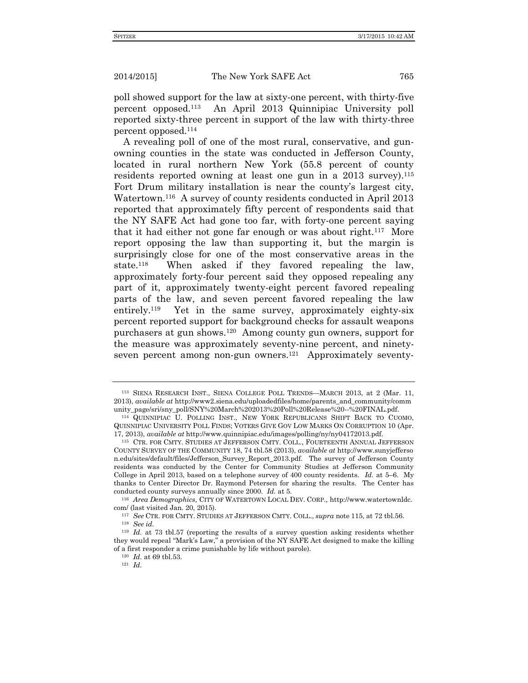poll showed support for the law at sixty-one percent, with thirty-five percent opposed.<sup>113</sup> An April 2013 Quinnipiac University poll reported sixty-three percent in support of the law with thirty-three percent opposed.<sup>114</sup>

A revealing poll of one of the most rural, conservative, and gunowning counties in the state was conducted in Jefferson County, located in rural northern New York (55.8 percent of county residents reported owning at least one gun in a 2013 survey).<sup>115</sup> Fort Drum military installation is near the county's largest city, Watertown.<sup>116</sup> A survey of county residents conducted in April 2013 reported that approximately fifty percent of respondents said that the NY SAFE Act had gone too far, with forty-one percent saying that it had either not gone far enough or was about right.<sup>117</sup> More report opposing the law than supporting it, but the margin is surprisingly close for one of the most conservative areas in the state.<sup>118</sup> When asked if they favored repealing the law, approximately forty-four percent said they opposed repealing any part of it, approximately twenty-eight percent favored repealing parts of the law, and seven percent favored repealing the law entirely.<sup>119</sup> Yet in the same survey, approximately eighty-six percent reported support for background checks for assault weapons purchasers at gun shows.<sup>120</sup> Among county gun owners, support for the measure was approximately seventy-nine percent, and ninetyseven percent among non-gun owners.<sup>121</sup> Approximately seventy-

<sup>113</sup> SIENA RESEARCH INST., SIENA COLLEGE POLL TRENDS—MARCH 2013, at 2 (Mar. 11, 2013), *available at* http://www2.siena.edu/uploadedfiles/home/parents\_and\_community/comm unity\_page/sri/sny\_poll/SNY%20March%202013%20Poll%20Release%20--%20FINAL.pdf.

<sup>114</sup> QUINNIPIAC U. POLLING INST., NEW YORK REPUBLICANS SHIFT BACK TO CUOMO, QUINNIPIAC UNIVERSITY POLL FINDS; VOTERS GIVE GOV LOW MARKS ON CORRUPTION 10 (Apr. 17, 2013), *available at* http://www.quinnipiac.edu/images/polling/ny/ny04172013.pdf.

<sup>115</sup> CTR. FOR CMTY. STUDIES AT JEFFERSON CMTY. COLL., FOURTEENTH ANNUAL JEFFERSON COUNTY SURVEY OF THE COMMUNITY 18, 74 tbl.58 (2013), *available at* http://www.sunyjefferso n.edu/sites/default/files/Jefferson\_Survey\_Report\_2013.pdf. The survey of Jefferson County residents was conducted by the Center for Community Studies at Jefferson Community College in April 2013, based on a telephone survey of 400 county residents. *Id.* at 5–6. My thanks to Center Director Dr. Raymond Petersen for sharing the results. The Center has conducted county surveys annually since 2000. *Id.* at 5.

<sup>116</sup> *Area Demographics,* CITY OF WATERTOWN LOCAL DEV. CORP.*,* http://www.watertownldc. com/ (last visited Jan. 20, 2015).

<sup>117</sup> *See* CTR. FOR CMTY. STUDIES AT JEFFERSON CMTY. COLL., *supra* note 115, at 72 tbl.56.

<sup>118</sup> *See id.*

<sup>119</sup> *Id.* at 73 tbl.57 (reporting the results of a survey question asking residents whether they would repeal "Mark's Law," a provision of the NY SAFE Act designed to make the killing of a first responder a crime punishable by life without parole).

<sup>120</sup> *Id.* at 69 tbl.53.

<sup>121</sup> *Id.*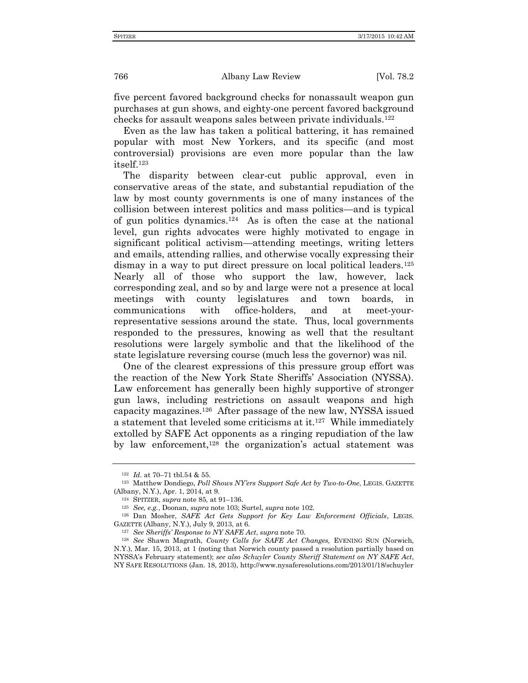five percent favored background checks for nonassault weapon gun purchases at gun shows, and eighty-one percent favored background checks for assault weapons sales between private individuals.<sup>122</sup>

Even as the law has taken a political battering, it has remained popular with most New Yorkers, and its specific (and most controversial) provisions are even more popular than the law itself.<sup>123</sup>

The disparity between clear-cut public approval, even in conservative areas of the state, and substantial repudiation of the law by most county governments is one of many instances of the collision between interest politics and mass politics—and is typical of gun politics dynamics.<sup>124</sup> As is often the case at the national level, gun rights advocates were highly motivated to engage in significant political activism—attending meetings, writing letters and emails, attending rallies, and otherwise vocally expressing their dismay in a way to put direct pressure on local political leaders.<sup>125</sup> Nearly all of those who support the law, however, lack corresponding zeal, and so by and large were not a presence at local meetings with county legislatures and town boards, in communications with office-holders, and at meet-yourrepresentative sessions around the state. Thus, local governments responded to the pressures, knowing as well that the resultant resolutions were largely symbolic and that the likelihood of the state legislature reversing course (much less the governor) was nil.

One of the clearest expressions of this pressure group effort was the reaction of the New York State Sheriffs' Association (NYSSA). Law enforcement has generally been highly supportive of stronger gun laws, including restrictions on assault weapons and high capacity magazines.<sup>126</sup> After passage of the new law, NYSSA issued a statement that leveled some criticisms at it.<sup>127</sup> While immediately extolled by SAFE Act opponents as a ringing repudiation of the law by law enforcement,<sup>128</sup> the organization's actual statement was

<sup>122</sup> *Id.* at 70–71 tbl.54 & 55.

<sup>123</sup> Matthew Dondiego, *Poll Shows NY'ers Support Safe Act by Two-to-One*, LEGIS. GAZETTE (Albany, N.Y.), Apr. 1, 2014, at 9.

<sup>124</sup> SPITZER, *supra* note 85*,* at 91–136.

<sup>125</sup> *See, e.g.*, Doonan, *supra* note 103; Surtel, *supra* note 102.

<sup>126</sup> Dan Mosher, *SAFE Act Gets Support for Key Law Enforcement Officials*, LEGIS. GAZETTE (Albany, N.Y.), July 9, 2013, at 6.

<sup>127</sup> *See Sheriffs' Response to NY SAFE Act*, *supra* note 70.

<sup>128</sup> *See* Shawn Magrath, *County Calls for SAFE Act Changes,* EVENING SUN (Norwich, N.Y.), Mar. 15, 2013, at 1 (noting that Norwich county passed a resolution partially based on NYSSA's February statement); *see also Schuyler County Sheriff Statement on NY SAFE Act*, NY SAFE RESOLUTIONS (Jan. 18, 2013), http://www.nysaferesolutions.com/2013/01/18/schuyler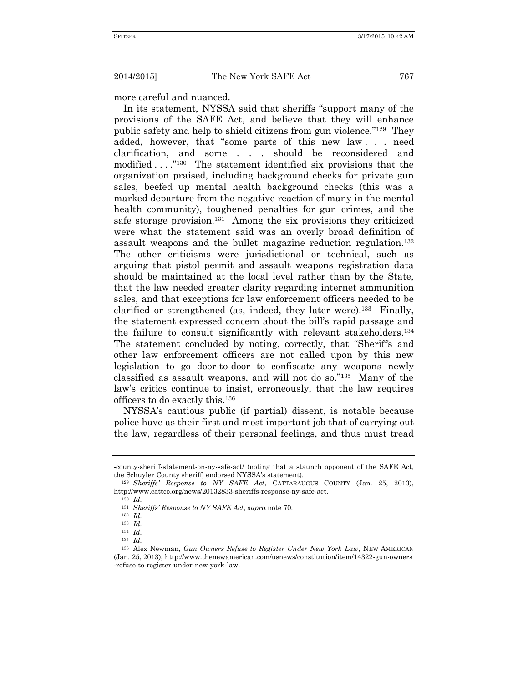more careful and nuanced.

In its statement, NYSSA said that sheriffs "support many of the provisions of the SAFE Act, and believe that they will enhance public safety and help to shield citizens from gun violence."<sup>129</sup> They added, however, that "some parts of this new law . . . need clarification, and some . . . should be reconsidered and modified . . . ."<sup>130</sup> The statement identified six provisions that the organization praised, including background checks for private gun sales, beefed up mental health background checks (this was a marked departure from the negative reaction of many in the mental health community), toughened penalties for gun crimes, and the safe storage provision.<sup>131</sup> Among the six provisions they criticized were what the statement said was an overly broad definition of assault weapons and the bullet magazine reduction regulation.<sup>132</sup> The other criticisms were jurisdictional or technical, such as arguing that pistol permit and assault weapons registration data should be maintained at the local level rather than by the State, that the law needed greater clarity regarding internet ammunition sales, and that exceptions for law enforcement officers needed to be clarified or strengthened (as, indeed, they later were).<sup>133</sup> Finally, the statement expressed concern about the bill's rapid passage and the failure to consult significantly with relevant stakeholders.<sup>134</sup> The statement concluded by noting, correctly, that "Sheriffs and other law enforcement officers are not called upon by this new legislation to go door-to-door to confiscate any weapons newly classified as assault weapons, and will not do so."<sup>135</sup> Many of the law's critics continue to insist, erroneously, that the law requires officers to do exactly this.<sup>136</sup>

NYSSA's cautious public (if partial) dissent, is notable because police have as their first and most important job that of carrying out the law, regardless of their personal feelings, and thus must tread

<sup>-</sup>county-sheriff-statement-on-ny-safe-act/ (noting that a staunch opponent of the SAFE Act, the Schuyler County sheriff, endorsed NYSSA's statement).

<sup>129</sup> *Sheriffs' Response to NY SAFE Act*, CATTARAUGUS COUNTY (Jan. 25, 2013), http://www.cattco.org/news/20132833-sheriffs-response-ny-safe-act.

<sup>130</sup> *Id.*

<sup>131</sup> *Sheriffs' Response to NY SAFE Act*, *supra* note 70.

<sup>132</sup> *Id.*

<sup>133</sup> *Id.*

<sup>134</sup> *Id.*

<sup>135</sup> *Id.*

<sup>136</sup> Alex Newman, *Gun Owners Refuse to Register Under New York Law*, NEW AMERICAN (Jan. 25, 2013), http://www.thenewamerican.com/usnews/constitution/item/14322-gun-owners -refuse-to-register-under-new-york-law.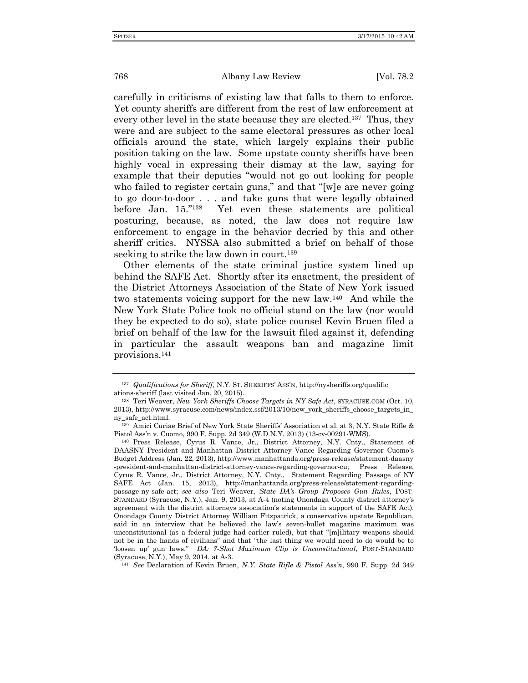carefully in criticisms of existing law that falls to them to enforce. Yet county sheriffs are different from the rest of law enforcement at every other level in the state because they are elected.<sup>137</sup> Thus, they were and are subject to the same electoral pressures as other local officials around the state, which largely explains their public position taking on the law. Some upstate county sheriffs have been highly vocal in expressing their dismay at the law, saying for example that their deputies "would not go out looking for people who failed to register certain guns," and that "[w]e are never going to go door-to-door . . . and take guns that were legally obtained before Jan. 15."<sup>138</sup> Yet even these statements are political posturing, because, as noted, the law does not require law enforcement to engage in the behavior decried by this and other sheriff critics. NYSSA also submitted a brief on behalf of those seeking to strike the law down in court.<sup>139</sup>

Other elements of the state criminal justice system lined up behind the SAFE Act. Shortly after its enactment, the president of the District Attorneys Association of the State of New York issued two statements voicing support for the new law.<sup>140</sup> And while the New York State Police took no official stand on the law (nor would they be expected to do so), state police counsel Kevin Bruen filed a brief on behalf of the law for the lawsuit filed against it, defending in particular the assault weapons ban and magazine limit provisions.<sup>141</sup>

<sup>141</sup> *See* Declaration of Kevin Bruen, *N.Y. State Rifle & Pistol Ass'n*, 990 F. Supp. 2d 349

<sup>137</sup> *Qualifications for Sheriff,* N.Y. ST. SHERIFFS' ASS'N, http://nysheriffs.org/qualific ations-sheriff (last visited Jan. 20, 2015).

<sup>138</sup> Teri Weaver, *New York Sheriffs Choose Targets in NY Safe Act*, SYRACUSE.COM (Oct. 10, 2013), http://www.syracuse.com/news/index.ssf/2013/10/new\_york\_sheriffs\_choose\_targets\_in\_ ny\_safe\_act.html.

<sup>139</sup> Amici Curiae Brief of New York State Sheriffs' Association et al. at 3, N.Y. State Rifle & Pistol Ass'n v. Cuomo, 990 F. Supp. 2d 349 (W.D.N.Y. 2013) (13-cv-00291-WMS).

<sup>140</sup> Press Release, Cyrus R. Vance, Jr., District Attorney, N.Y. Cnty., Statement of DAASNY President and Manhattan District Attorney Vance Regarding Governor Cuomo's Budget Address (Jan. 22, 2013), http://www.manhattanda.org/press-release/statement-daasny -president-and-manhattan-district-attorney-vance-regarding-governor-cu; Press Release, Cyrus R. Vance, Jr., District Attorney, N.Y. Cnty., Statement Regarding Passage of NY SAFE Act (Jan. 15, 2013), http://manhattanda.org/press-release/statement-regardingpassage-ny-safe-act; *see also* Teri Weaver, *State DA's Group Proposes Gun Rules*, POST-STANDARD (Syracuse, N.Y.), Jan. 9, 2013, at A-4 (noting Onondaga County district attorney's agreement with the district attorneys association's statements in support of the SAFE Act). Onondaga County District Attorney William Fitzpatrick, a conservative upstate Republican, said in an interview that he believed the law's seven-bullet magazine maximum was unconstitutional (as a federal judge had earlier ruled), but that "[m]ilitary weapons should not be in the hands of civilians" and that "the last thing we would need to do would be to 'loosen up' gun laws." *DA: 7-Shot Maximum Clip is Unconstitutional*, POST-STANDARD (Syracuse, N.Y.), May 9, 2014, at A-3.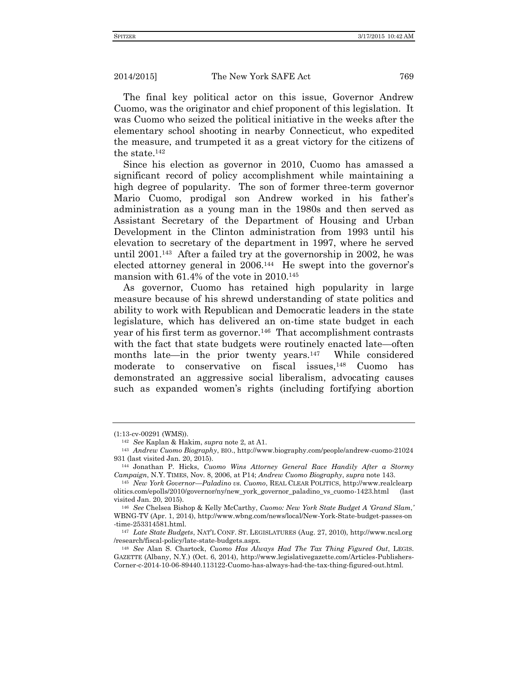The final key political actor on this issue, Governor Andrew Cuomo, was the originator and chief proponent of this legislation. It was Cuomo who seized the political initiative in the weeks after the elementary school shooting in nearby Connecticut, who expedited the measure, and trumpeted it as a great victory for the citizens of the state.<sup>142</sup>

Since his election as governor in 2010, Cuomo has amassed a significant record of policy accomplishment while maintaining a high degree of popularity. The son of former three-term governor Mario Cuomo, prodigal son Andrew worked in his father's administration as a young man in the 1980s and then served as Assistant Secretary of the Department of Housing and Urban Development in the Clinton administration from 1993 until his elevation to secretary of the department in 1997, where he served until 2001.<sup>143</sup> After a failed try at the governorship in 2002, he was elected attorney general in 2006.<sup>144</sup> He swept into the governor's mansion with 61.4% of the vote in 2010.<sup>145</sup>

As governor, Cuomo has retained high popularity in large measure because of his shrewd understanding of state politics and ability to work with Republican and Democratic leaders in the state legislature, which has delivered an on-time state budget in each year of his first term as governor.<sup>146</sup> That accomplishment contrasts with the fact that state budgets were routinely enacted late—often months late—in the prior twenty years.<sup>147</sup> While considered moderate to conservative on fiscal issues,<sup>148</sup> Cuomo has demonstrated an aggressive social liberalism, advocating causes such as expanded women's rights (including fortifying abortion

<sup>(1:13-</sup>cv-00291 (WMS)).

<sup>142</sup> *See* Kaplan & Hakim, *supra* note 2, at A1.

<sup>143</sup> *Andrew Cuomo Biography*, BIO., http://www.biography.com/people/andrew-cuomo-21024 931 (last visited Jan. 20, 2015).

<sup>144</sup> Jonathan P. Hicks, *Cuomo Wins Attorney General Race Handily After a Stormy Campaign*, N.Y. TIMES, Nov. 8, 2006, at P14; *Andrew Cuomo Biography*, *supra* note 143.

<sup>145</sup> *New York Governor—Paladino vs. Cuomo*, REAL CLEAR POLITICS, http://www.realclearp olitics.com/epolls/2010/governor/ny/new\_york\_governor\_paladino\_vs\_cuomo-1423.html (last visited Jan. 20, 2015).

<sup>146</sup> *See* Chelsea Bishop & Kelly McCarthy, *Cuomo: New York State Budget A 'Grand Slam*,*'* WBNG-TV (Apr. 1, 2014), http://www.wbng.com/news/local/New-York-State-budget-passes-on -time-253314581.html.

<sup>147</sup> *Late State Budgets*, NAT'L CONF. ST. LEGISLATURES (Aug. 27, 2010), http://www.ncsl.org /research/fiscal-policy/late-state-budgets.aspx.

<sup>148</sup> *See* Alan S. Chartock, *Cuomo Has Always Had The Tax Thing Figured Out*, LEGIS. GAZETTE (Albany, N.Y.) (Oct. 6, 2014), http://www.legislativegazette.com/Articles-Publishers-Corner-c-2014-10-06-89440.113122-Cuomo-has-always-had-the-tax-thing-figured-out.html.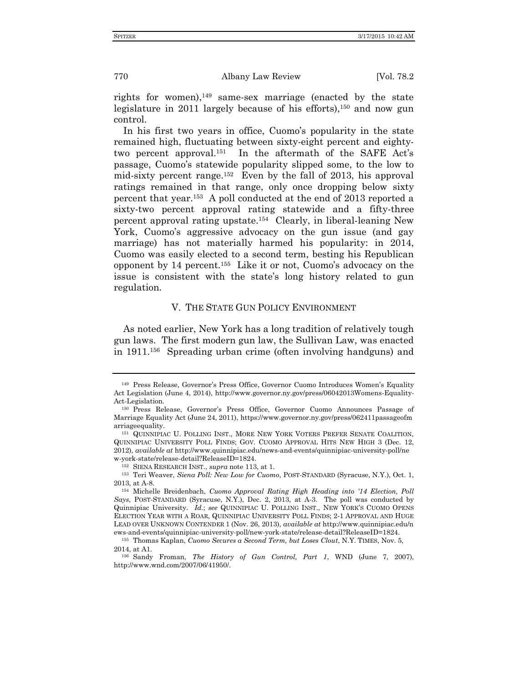rights for women), <sup>149</sup> same-sex marriage (enacted by the state legislature in 2011 largely because of his efforts),<sup>150</sup> and now gun control.

In his first two years in office, Cuomo's popularity in the state remained high, fluctuating between sixty-eight percent and eightytwo percent approval.<sup>151</sup> In the aftermath of the SAFE Act's passage, Cuomo's statewide popularity slipped some, to the low to mid-sixty percent range.<sup>152</sup> Even by the fall of 2013, his approval ratings remained in that range, only once dropping below sixty percent that year.<sup>153</sup> A poll conducted at the end of 2013 reported a sixty-two percent approval rating statewide and a fifty-three percent approval rating upstate.<sup>154</sup> Clearly, in liberal-leaning New York, Cuomo's aggressive advocacy on the gun issue (and gay marriage) has not materially harmed his popularity: in 2014, Cuomo was easily elected to a second term, besting his Republican opponent by 14 percent.<sup>155</sup> Like it or not, Cuomo's advocacy on the issue is consistent with the state's long history related to gun regulation.

# V. THE STATE GUN POLICY ENVIRONMENT

As noted earlier, New York has a long tradition of relatively tough gun laws. The first modern gun law, the Sullivan Law, was enacted in 1911.<sup>156</sup> Spreading urban crime (often involving handguns) and

<sup>149</sup> Press Release, Governor's Press Office, Governor Cuomo Introduces Women's Equality Act Legislation (June 4, 2014), http://www.governor.ny.gov/press/06042013Womens-Equality-Act-Legislation.

<sup>150</sup> Press Release, Governor's Press Office, Governor Cuomo Announces Passage of Marriage Equality Act (June 24, 2011), https://www.governor.ny.gov/press/062411passageofm arriageequality.

<sup>151</sup> QUINNIPIAC U. POLLING INST., MORE NEW YORK VOTERS PREFER SENATE COALITION, QUINNIPIAC UNIVERSITY POLL FINDS; GOV. CUOMO APPROVAL HITS NEW HIGH 3 (Dec. 12, 2012), *available at* http://www.quinnipiac.edu/news-and-events/quinnipiac-university-poll/ne w-york-state/release-detail?ReleaseID=1824.

<sup>152</sup> SIENA RESEARCH INST., *supra* note 113, at 1.

<sup>153</sup> Teri Weaver, *Siena Poll: New Low for Cuomo*, POST-STANDARD (Syracuse, N.Y.), Oct. 1, 2013, at A-8.

<sup>154</sup> Michelle Breidenbach, *Cuomo Approval Rating High Heading into '14 Election, Poll Says*, POST-STANDARD (Syracuse, N.Y.), Dec. 2, 2013, at A-3. The poll was conducted by Quinnipiac University. *Id.*; *see* QUINNIPIAC U. POLLING INST., NEW YORK'S CUOMO OPENS ELECTION YEAR WITH A ROAR, QUINNIPIAC UNIVERSITY POLL FINDS; 2-1 APPROVAL AND HUGE LEAD OVER UNKNOWN CONTENDER 1 (Nov. 26, 2013), *available at* http://www.quinnipiac.edu/n ews-and-events/quinnipiac-university-poll/new-york-state/release-detail?ReleaseID=1824.

<sup>155</sup> Thomas Kaplan, *Cuomo Secures a Second Term, but Loses Clout*, N.Y. TIMES, Nov. 5, 2014, at A1.

<sup>156</sup> Sandy Froman, *The History of Gun Control, Part 1*, WND (June 7, 2007), http://www.wnd.com/2007/06/41950/.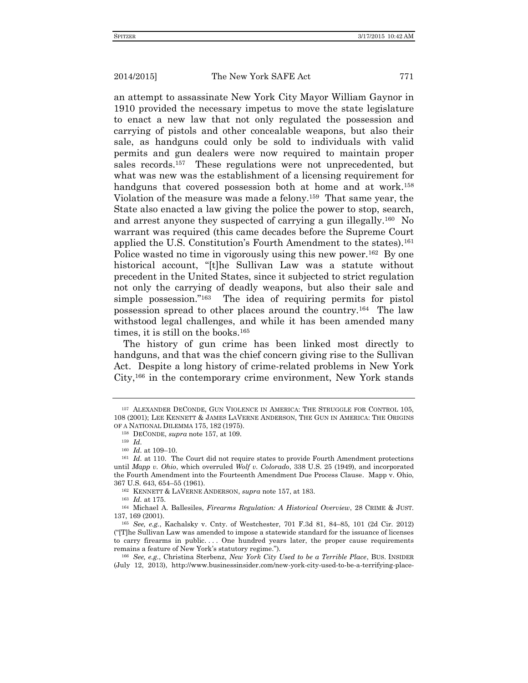an attempt to assassinate New York City Mayor William Gaynor in 1910 provided the necessary impetus to move the state legislature to enact a new law that not only regulated the possession and carrying of pistols and other concealable weapons, but also their sale, as handguns could only be sold to individuals with valid permits and gun dealers were now required to maintain proper sales records.<sup>157</sup> These regulations were not unprecedented, but what was new was the establishment of a licensing requirement for handguns that covered possession both at home and at work.<sup>158</sup> Violation of the measure was made a felony.<sup>159</sup> That same year, the State also enacted a law giving the police the power to stop, search, and arrest anyone they suspected of carrying a gun illegally.<sup>160</sup> No warrant was required (this came decades before the Supreme Court applied the U.S. Constitution's Fourth Amendment to the states).<sup>161</sup> Police wasted no time in vigorously using this new power.<sup>162</sup> By one historical account, "[t]he Sullivan Law was a statute without precedent in the United States, since it subjected to strict regulation not only the carrying of deadly weapons, but also their sale and simple possession."<sup>163</sup> The idea of requiring permits for pistol possession spread to other places around the country.<sup>164</sup> The law withstood legal challenges, and while it has been amended many times, it is still on the books.<sup>165</sup>

The history of gun crime has been linked most directly to handguns, and that was the chief concern giving rise to the Sullivan Act. Despite a long history of crime-related problems in New York City,<sup>166</sup> in the contemporary crime environment, New York stands

<sup>157</sup> ALEXANDER DECONDE, GUN VIOLENCE IN AMERICA: THE STRUGGLE FOR CONTROL 105, 108 (2001); LEE KENNETT & JAMES LAVERNE ANDERSON, THE GUN IN AMERICA: THE ORIGINS OF A NATIONAL DILEMMA 175, 182 (1975).

<sup>158</sup> DECONDE, *supra* note 157, at 109.

<sup>159</sup> *Id.*

<sup>160</sup> *Id.* at 109–10.

<sup>&</sup>lt;sup>161</sup> *Id.* at 110. The Court did not require states to provide Fourth Amendment protections until *Mapp v. Ohio*, which overruled *Wolf v. Colorado*, 338 U.S. 25 (1949), and incorporated the Fourth Amendment into the Fourteenth Amendment Due Process Clause. Mapp v. Ohio, 367 U.S. 643, 654–55 (1961).

<sup>162</sup> KENNETT & LAVERNE ANDERSON, *supra* note 157, at 183.

<sup>163</sup> *Id.* at 175.

<sup>164</sup> Michael A. Ballesiles, *Firearms Regulation: A Historical Overview*, 28 CRIME & JUST. 137, 169 (2001).

<sup>165</sup> *See, e.g.*, Kachalsky v. Cnty. of Westchester, 701 F.3d 81, 84–85, 101 (2d Cir. 2012) ("[T]he Sullivan Law was amended to impose a statewide standard for the issuance of licenses to carry firearms in public.... One hundred years later, the proper cause requirements remains a feature of New York's statutory regime.").

<sup>166</sup> *See, e.g.*, Christina Sterbenz, *New York City Used to be a Terrible Place*, BUS. INSIDER (July 12, 2013), http://www.businessinsider.com/new-york-city-used-to-be-a-terrifying-place-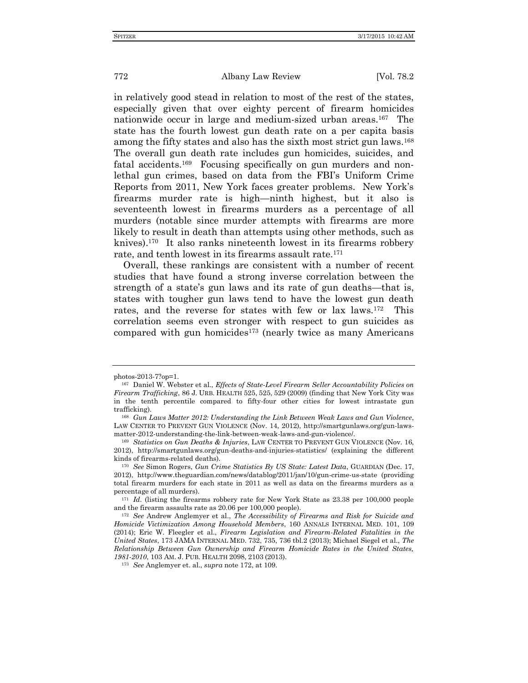in relatively good stead in relation to most of the rest of the states, especially given that over eighty percent of firearm homicides nationwide occur in large and medium-sized urban areas.<sup>167</sup> The state has the fourth lowest gun death rate on a per capita basis among the fifty states and also has the sixth most strict gun laws.<sup>168</sup> The overall gun death rate includes gun homicides, suicides, and fatal accidents.<sup>169</sup> Focusing specifically on gun murders and nonlethal gun crimes, based on data from the FBI's Uniform Crime Reports from 2011, New York faces greater problems. New York's firearms murder rate is high—ninth highest, but it also is seventeenth lowest in firearms murders as a percentage of all murders (notable since murder attempts with firearms are more likely to result in death than attempts using other methods, such as knives).<sup>170</sup> It also ranks nineteenth lowest in its firearms robbery rate, and tenth lowest in its firearms assault rate.<sup>171</sup>

Overall, these rankings are consistent with a number of recent studies that have found a strong inverse correlation between the strength of a state's gun laws and its rate of gun deaths—that is, states with tougher gun laws tend to have the lowest gun death rates, and the reverse for states with few or lax laws.<sup>172</sup> This correlation seems even stronger with respect to gun suicides as compared with gun homicides<sup>173</sup> (nearly twice as many Americans

photos-2013-7?op=1.

<sup>167</sup> Daniel W. Webster et al., *Effects of State-Level Firearm Seller Accountability Policies on Firearm Trafficking*, 86 J. URB. HEALTH 525, 525, 529 (2009) (finding that New York City was in the tenth percentile compared to fifty-four other cities for lowest intrastate gun trafficking).

<sup>168</sup> *Gun Laws Matter 2012: Understanding the Link Between Weak Laws and Gun Violence*, LAW CENTER TO PREVENT GUN VIOLENCE (Nov. 14, 2012), http://smartgunlaws.org/gun-lawsmatter-2012-understanding-the-link-between-weak-laws-and-gun-violence/.

<sup>169</sup> *Statistics on Gun Deaths & Injuries*, LAW CENTER TO PREVENT GUN VIOLENCE (Nov. 16, 2012), http://smartgunlaws.org/gun-deaths-and-injuries-statistics/ (explaining the different kinds of firearms-related deaths).

<sup>170</sup> *See* Simon Rogers, *Gun Crime Statistics By US State: Latest Data*, GUARDIAN (Dec. 17, 2012), http://www.theguardian.com/news/datablog/2011/jan/10/gun-crime-us-state (providing total firearm murders for each state in 2011 as well as data on the firearms murders as a percentage of all murders).

<sup>&</sup>lt;sup>171</sup> *Id.* (listing the firearms robbery rate for New York State as 23.38 per 100,000 people and the firearm assaults rate as 20.06 per 100,000 people).

<sup>172</sup> *See* Andrew Anglemyer et al., *The Accessibility of Firearms and Risk for Suicide and Homicide Victimization Among Household Members*, 160 ANNALS INTERNAL MED. 101, 109 (2014); Eric W. Fleegler et al., *Firearm Legislation and Firearm-Related Fatalities in the United States*, 173 JAMA INTERNAL MED. 732, 735, 736 tbl.2 (2013); Michael Siegel et al., *The Relationship Between Gun Ownership and Firearm Homicide Rates in the United States, 1981-2010*, 103 AM. J. PUB. HEALTH 2098, 2103 (2013).

<sup>173</sup> *See* Anglemyer et. al., *supra* note 172, at 109.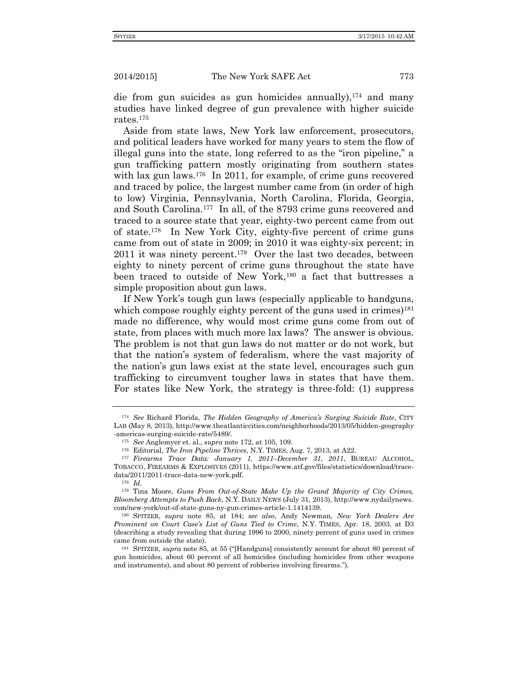die from gun suicides as gun homicides annually),  $174$  and many studies have linked degree of gun prevalence with higher suicide rates.<sup>175</sup>

Aside from state laws, New York law enforcement, prosecutors, and political leaders have worked for many years to stem the flow of illegal guns into the state, long referred to as the "iron pipeline," a gun trafficking pattern mostly originating from southern states with lax gun laws.<sup>176</sup> In 2011, for example, of crime guns recovered and traced by police, the largest number came from (in order of high to low) Virginia, Pennsylvania, North Carolina, Florida, Georgia, and South Carolina.<sup>177</sup> In all, of the 8793 crime guns recovered and traced to a source state that year, eighty-two percent came from out of state.<sup>178</sup> In New York City, eighty-five percent of crime guns came from out of state in 2009; in 2010 it was eighty-six percent; in 2011 it was ninety percent.<sup>179</sup> Over the last two decades, between eighty to ninety percent of crime guns throughout the state have been traced to outside of New York,<sup>180</sup> a fact that buttresses a simple proposition about gun laws.

If New York's tough gun laws (especially applicable to handguns, which compose roughly eighty percent of the guns used in crimes)<sup>181</sup> made no difference, why would most crime guns come from out of state, from places with much more lax laws? The answer is obvious. The problem is not that gun laws do not matter or do not work, but that the nation's system of federalism, where the vast majority of the nation's gun laws exist at the state level, encourages such gun trafficking to circumvent tougher laws in states that have them. For states like New York, the strategy is three-fold: (1) suppress

<sup>174</sup> *See* Richard Florida, *The Hidden Geography of America's Surging Suicide Rate*, CITY LAB (May 8, 2013), http://www.theatlanticcities.com/neighborhoods/2013/05/hidden-geography -americas-surging-suicide-rate/5489/.

<sup>175</sup> *See* Anglemyer et. al., *supra* note 172, at 105, 109.

<sup>176</sup> Editorial, *The Iron Pipeline Thrives*, N.Y. TIMES, Aug. 7, 2013, at A22.

<sup>177</sup> *Firearms Trace Data: January 1, 2011–December 31, 2011*, BUREAU ALCOHOL, TOBACCO, FIREARMS & EXPLOSIVES (2011), https://www.atf.gov/files/statistics/download/tracedata/2011/2011-trace-data-new-york.pdf.

<sup>178</sup> *Id.*

<sup>179</sup> Tina Moore, *Guns From Out-of-State Make Up the Grand Majority of City Crimes, Bloomberg Attempts to Push Back*, N.Y. DAILY NEWS (July 31, 2013), http://www.nydailynews. com/new-york/out-of-state-guns-ny-gun-crimes-article-1.1414139.

<sup>180</sup> SPITZER, *supra* note 85, at 184; *see also*, Andy Newman, *New York Dealers Are Prominent on Court Case's List of Guns Tied to Crime*, N.Y. TIMES, Apr. 18, 2003, at D3 (describing a study revealing that during 1996 to 2000, ninety percent of guns used in crimes came from outside the state).

<sup>181</sup> SPITZER, *supra* note 85, at 55 ("[Handguns] consistently account for about 80 percent of gun homicides, about 60 percent of all homicides (including homicides from other weapons and instruments), and about 80 percent of robberies involving firearms.").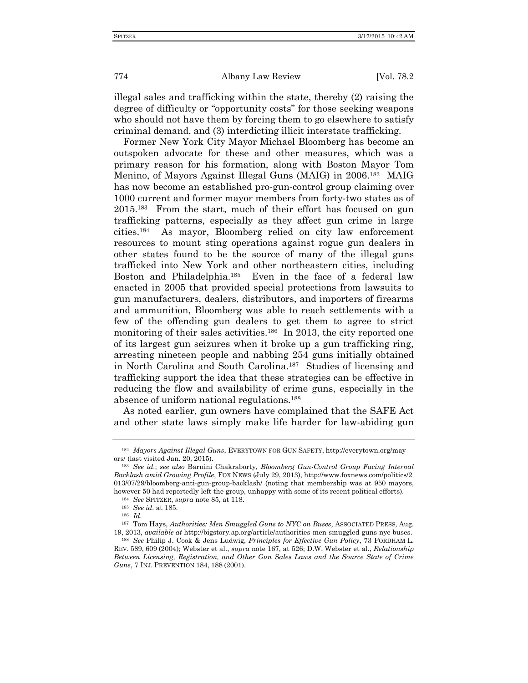illegal sales and trafficking within the state, thereby (2) raising the degree of difficulty or "opportunity costs" for those seeking weapons who should not have them by forcing them to go elsewhere to satisfy criminal demand, and (3) interdicting illicit interstate trafficking.

Former New York City Mayor Michael Bloomberg has become an outspoken advocate for these and other measures, which was a primary reason for his formation, along with Boston Mayor Tom Menino, of Mayors Against Illegal Guns (MAIG) in 2006.<sup>182</sup> MAIG has now become an established pro-gun-control group claiming over 1000 current and former mayor members from forty-two states as of 2015. 183 From the start, much of their effort has focused on gun trafficking patterns, especially as they affect gun crime in large cities.<sup>184</sup> As mayor, Bloomberg relied on city law enforcement resources to mount sting operations against rogue gun dealers in other states found to be the source of many of the illegal guns trafficked into New York and other northeastern cities, including Boston and Philadelphia.<sup>185</sup> Even in the face of a federal law enacted in 2005 that provided special protections from lawsuits to gun manufacturers, dealers, distributors, and importers of firearms and ammunition, Bloomberg was able to reach settlements with a few of the offending gun dealers to get them to agree to strict monitoring of their sales activities.<sup>186</sup> In 2013, the city reported one of its largest gun seizures when it broke up a gun trafficking ring, arresting nineteen people and nabbing 254 guns initially obtained in North Carolina and South Carolina.<sup>187</sup> Studies of licensing and trafficking support the idea that these strategies can be effective in reducing the flow and availability of crime guns, especially in the absence of uniform national regulations.<sup>188</sup>

As noted earlier, gun owners have complained that the SAFE Act and other state laws simply make life harder for law-abiding gun

<sup>182</sup> *Mayors Against Illegal Guns*, EVERYTOWN FOR GUN SAFETY, http://everytown.org/may ors/ (last visited Jan. 20, 2015).

<sup>183</sup> *See id.*; *see also* Barnini Chakraborty, *Bloomberg Gun-Control Group Facing Internal Backlash amid Growing Profile*, FOX NEWS (July 29, 2013), http://www.foxnews.com/politics/2 013/07/29/bloomberg-anti-gun-group-backlash/ (noting that membership was at 950 mayors, however 50 had reportedly left the group, unhappy with some of its recent political efforts).

<sup>184</sup> *See* SPITZER, *supra* note 85, at 118.

<sup>185</sup> *See id.* at 185.

<sup>186</sup> *Id.*

<sup>187</sup> Tom Hays, *Authorities: Men Smuggled Guns to NYC on Buses*, ASSOCIATED PRESS, Aug. 19, 2013, *available at* http://bigstory.ap.org/article/authorities-men-smuggled-guns-nyc-buses.

<sup>188</sup> *See* Philip J. Cook & Jens Ludwig, *Principles for Effective Gun Policy*, 73 FORDHAM L. REV. 589, 609 (2004); Webster et al., *supra* note 167, at 526; D.W. Webster et al., *Relationship Between Licensing, Registration, and Other Gun Sales Laws and the Source State of Crime Guns*, 7 INJ. PREVENTION 184, 188 (2001).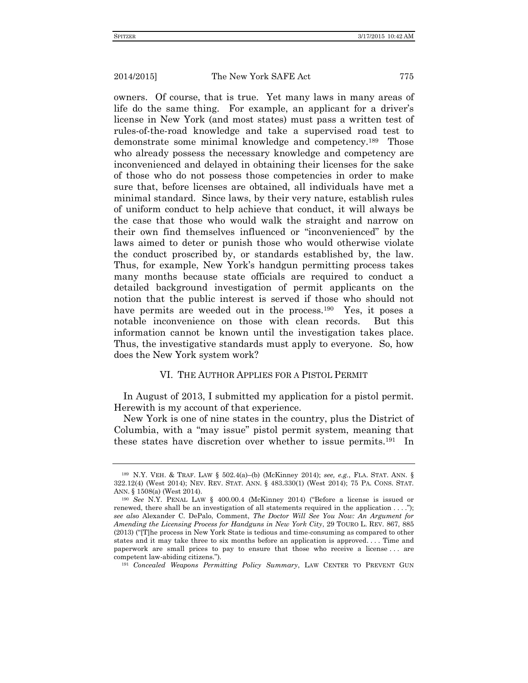owners. Of course, that is true. Yet many laws in many areas of life do the same thing. For example, an applicant for a driver's license in New York (and most states) must pass a written test of rules-of-the-road knowledge and take a supervised road test to demonstrate some minimal knowledge and competency.<sup>189</sup> Those who already possess the necessary knowledge and competency are inconvenienced and delayed in obtaining their licenses for the sake of those who do not possess those competencies in order to make sure that, before licenses are obtained, all individuals have met a minimal standard. Since laws, by their very nature, establish rules of uniform conduct to help achieve that conduct, it will always be the case that those who would walk the straight and narrow on their own find themselves influenced or "inconvenienced" by the laws aimed to deter or punish those who would otherwise violate the conduct proscribed by, or standards established by, the law. Thus, for example, New York's handgun permitting process takes many months because state officials are required to conduct a detailed background investigation of permit applicants on the notion that the public interest is served if those who should not have permits are weeded out in the process.<sup>190</sup> Yes, it poses a notable inconvenience on those with clean records. But this information cannot be known until the investigation takes place. Thus, the investigative standards must apply to everyone. So, how does the New York system work?

### VI. THE AUTHOR APPLIES FOR A PISTOL PERMIT

In August of 2013, I submitted my application for a pistol permit. Herewith is my account of that experience.

New York is one of nine states in the country, plus the District of Columbia, with a "may issue" pistol permit system, meaning that these states have discretion over whether to issue permits.<sup>191</sup> In

<sup>189</sup> N.Y. VEH. & TRAF. LAW § 502.4(a)–(b) (McKinney 2014); *see, e.g.*, FLA. STAT. ANN. § 322.12(4) (West 2014); NEV. REV. STAT. ANN. § 483.330(1) (West 2014); 75 PA. CONS. STAT. ANN. § 1508(a) (West 2014).

<sup>190</sup> *See* N.Y. PENAL LAW § 400.00.4 (McKinney 2014) ("Before a license is issued or renewed, there shall be an investigation of all statements required in the application  $\dots$ "); *see also* Alexander C. DePalo, Comment, *The Doctor Will See You Now: An Argument for Amending the Licensing Process for Handguns in New York City*, 29 TOURO L. REV. 867, 885 (2013) ("[T]he process in New York State is tedious and time-consuming as compared to other states and it may take three to six months before an application is approved. . . . Time and paperwork are small prices to pay to ensure that those who receive a license . . . are competent law-abiding citizens.").

<sup>191</sup> *Concealed Weapons Permitting Policy Summary*, LAW CENTER TO PREVENT GUN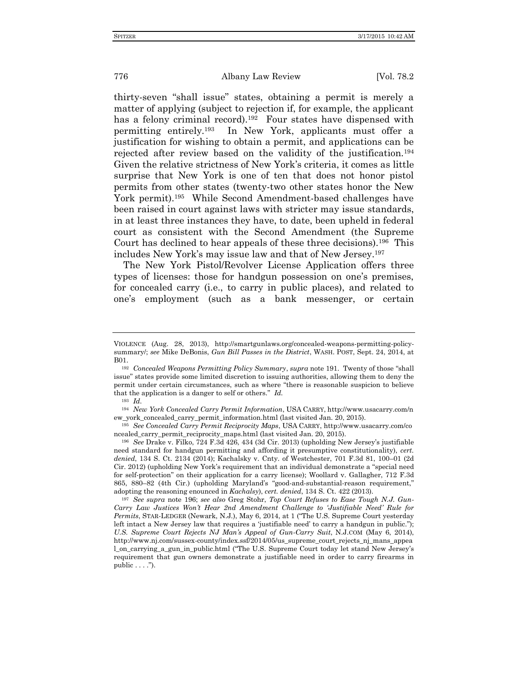thirty-seven "shall issue" states, obtaining a permit is merely a matter of applying (subject to rejection if, for example, the applicant has a felony criminal record).<sup>192</sup> Four states have dispensed with permitting entirely.<sup>193</sup> In New York, applicants must offer a justification for wishing to obtain a permit, and applications can be rejected after review based on the validity of the justification.<sup>194</sup> Given the relative strictness of New York's criteria, it comes as little surprise that New York is one of ten that does not honor pistol permits from other states (twenty-two other states honor the New York permit).<sup>195</sup> While Second Amendment-based challenges have been raised in court against laws with stricter may issue standards, in at least three instances they have, to date, been upheld in federal court as consistent with the Second Amendment (the Supreme Court has declined to hear appeals of these three decisions).<sup>196</sup> This includes New York's may issue law and that of New Jersey.<sup>197</sup>

The New York Pistol/Revolver License Application offers three types of licenses: those for handgun possession on one's premises, for concealed carry (i.e., to carry in public places), and related to one's employment (such as a bank messenger, or certain

VIOLENCE (Aug. 28, 2013), http://smartgunlaws.org/concealed-weapons-permitting-policysummary/; *see* Mike DeBonis, *Gun Bill Passes in the District*, WASH. POST, Sept. 24, 2014, at B01.

<sup>192</sup> *Concealed Weapons Permitting Policy Summary*, *supra* note 191. Twenty of those "shall issue" states provide some limited discretion to issuing authorities, allowing them to deny the permit under certain circumstances, such as where "there is reasonable suspicion to believe that the application is a danger to self or others." *Id.*

<sup>193</sup> *Id.*

<sup>194</sup> *New York Concealed Carry Permit Information*, USA CARRY, http://www.usacarry.com/n ew\_york\_concealed\_carry\_permit\_information.html (last visited Jan. 20, 2015).

<sup>195</sup> *See Concealed Carry Permit Reciprocity Maps*, USA CARRY, http://www.usacarry.com/co ncealed\_carry\_permit\_reciprocity\_maps.html (last visited Jan. 20, 2015).

<sup>196</sup> *See* Drake v. Filko, 724 F.3d 426, 434 (3d Cir. 2013) (upholding New Jersey's justifiable need standard for handgun permitting and affording it presumptive constitutionality), *cert. denied*, 134 S. Ct. 2134 (2014); Kachalsky v. Cnty. of Westchester, 701 F.3d 81, 100–01 (2d Cir. 2012) (upholding New York's requirement that an individual demonstrate a "special need for self-protection" on their application for a carry license); Woollard v. Gallagher, 712 F.3d 865, 880–82 (4th Cir.) (upholding Maryland's "good-and-substantial-reason requirement," adopting the reasoning enounced in *Kachalsy*), *cert. denied*, 134 S. Ct. 422 (2013).

<sup>197</sup> *See supra* note 196; *see also* Greg Stohr, *Top Court Refuses to Ease Tough N.J. Gun-Carry Law Justices Won't Hear 2nd Amendment Challenge to 'Justifiable Need' Rule for Permits*, STAR-LEDGER (Newark, N.J.), May 6, 2014, at 1 ("The U.S. Supreme Court yesterday left intact a New Jersey law that requires a 'justifiable need' to carry a handgun in public."); *U.S. Supreme Court Rejects NJ Man's Appeal of Gun-Carry Suit*, N.J.COM (May 6, 2014), http://www.nj.com/sussex-county/index.ssf/2014/05/us\_supreme\_court\_rejects\_nj\_mans\_appea l on carrying a gun in public.html ("The U.S. Supreme Court today let stand New Jersey's requirement that gun owners demonstrate a justifiable need in order to carry firearms in public  $\dots$ .").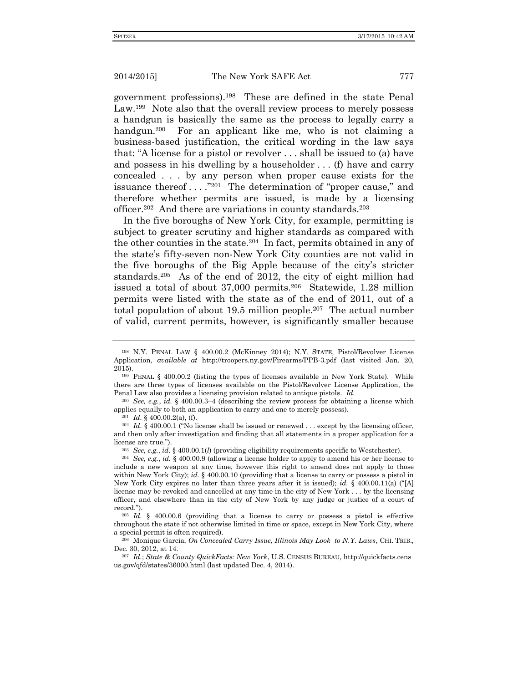government professions).<sup>198</sup> These are defined in the state Penal Law.<sup>199</sup> Note also that the overall review process to merely possess a handgun is basically the same as the process to legally carry a handgun.<sup>200</sup> For an applicant like me, who is not claiming a business-based justification, the critical wording in the law says that: "A license for a pistol or revolver . . . shall be issued to (a) have and possess in his dwelling by a householder . . . (f) have and carry concealed . . . by any person when proper cause exists for the issuance thereof . . . . "201 The determination of "proper cause," and therefore whether permits are issued, is made by a licensing officer.<sup>202</sup> And there are variations in county standards.<sup>203</sup>

In the five boroughs of New York City, for example, permitting is subject to greater scrutiny and higher standards as compared with the other counties in the state.<sup>204</sup> In fact, permits obtained in any of the state's fifty-seven non-New York City counties are not valid in the five boroughs of the Big Apple because of the city's stricter standards.<sup>205</sup> As of the end of 2012, the city of eight million had issued a total of about 37,000 permits.<sup>206</sup> Statewide, 1.28 million permits were listed with the state as of the end of 2011, out of a total population of about 19.5 million people.<sup>207</sup> The actual number of valid, current permits, however, is significantly smaller because

<sup>200</sup> *See, e.g.*, *id.* § 400.00.3–4 (describing the review process for obtaining a license which applies equally to both an application to carry and one to merely possess).

<sup>201</sup> *Id.* § 400.00.2(a), (f).

<sup>202</sup> *Id.* § 400,00.1 ("No license shall be issued or renewed ... except by the licensing officer, and then only after investigation and finding that all statements in a proper application for a license are true.").

<sup>203</sup> *See, e.g.*, *id.* § 400.00.1(*l*) (providing eligibility requirements specific to Westchester).

<sup>205</sup> *Id.* § 400.00.6 (providing that a license to carry or possess a pistol is effective throughout the state if not otherwise limited in time or space, except in New York City, where a special permit is often required).

<sup>206</sup> Monique Garcia, *On Concealed Carry Issue, Illinois May Look to N.Y. Laws*, CHI. TRIB.*,*  Dec. 30, 2012, at 14.

<sup>207</sup> *Id.*; *State & County QuickFacts: New York*, U.S. CENSUS BUREAU, http://quickfacts.cens us.gov/qfd/states/36000.html (last updated Dec. 4, 2014).

<sup>198</sup> N.Y. PENAL LAW § 400.00.2 (McKinney 2014); N.Y. STATE, Pistol/Revolver License Application, *available at* http://troopers.ny.gov/Firearms/PPB-3.pdf (last visited Jan. 20, 2015).

<sup>199</sup> PENAL § 400.00.2 (listing the types of licenses available in New York State). While there are three types of licenses available on the Pistol/Revolver License Application, the Penal Law also provides a licensing provision related to antique pistols. *Id.*

<sup>204</sup> *See, e.g.*, *id.* § 400.00.9 (allowing a license holder to apply to amend his or her license to include a new weapon at any time, however this right to amend does not apply to those within New York City); *id.* § 400.00.10 (providing that a license to carry or possess a pistol in New York City expires no later than three years after it is issued); *id.* § 400.00.11(a) ("[A] license may be revoked and cancelled at any time in the city of New York . . . by the licensing officer, and elsewhere than in the city of New York by any judge or justice of a court of record.").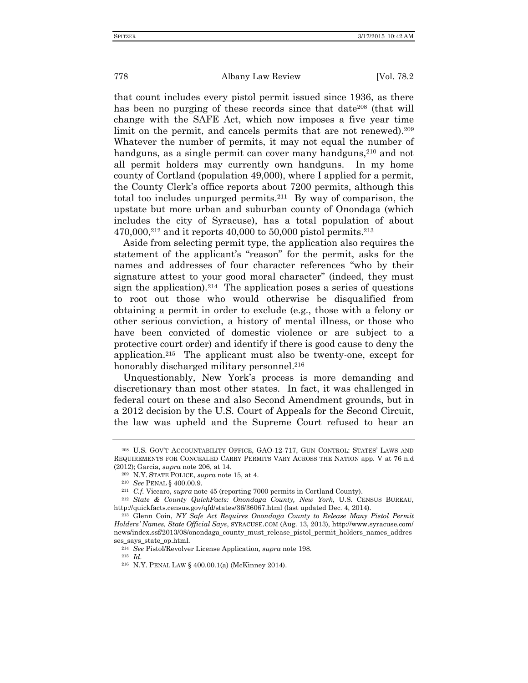that count includes every pistol permit issued since 1936, as there has been no purging of these records since that date<sup>208</sup> (that will change with the SAFE Act, which now imposes a five year time limit on the permit, and cancels permits that are not renewed).<sup>209</sup> Whatever the number of permits, it may not equal the number of handguns, as a single permit can cover many handguns,<sup>210</sup> and not all permit holders may currently own handguns. In my home county of Cortland (population 49,000), where I applied for a permit, the County Clerk's office reports about 7200 permits, although this total too includes unpurged permits.<sup>211</sup> By way of comparison, the upstate but more urban and suburban county of Onondaga (which includes the city of Syracuse), has a total population of about  $470,000$ ,<sup>212</sup> and it reports  $40,000$  to  $50,000$  pistol permits.<sup>213</sup>

Aside from selecting permit type, the application also requires the statement of the applicant's "reason" for the permit, asks for the names and addresses of four character references "who by their signature attest to your good moral character" (indeed, they must sign the application).<sup>214</sup> The application poses a series of questions to root out those who would otherwise be disqualified from obtaining a permit in order to exclude (e.g., those with a felony or other serious conviction, a history of mental illness, or those who have been convicted of domestic violence or are subject to a protective court order) and identify if there is good cause to deny the application.<sup>215</sup> The applicant must also be twenty-one, except for honorably discharged military personnel.<sup>216</sup>

Unquestionably, New York's process is more demanding and discretionary than most other states. In fact, it was challenged in federal court on these and also Second Amendment grounds, but in a 2012 decision by the U.S. Court of Appeals for the Second Circuit, the law was upheld and the Supreme Court refused to hear an

<sup>215</sup> *Id.*

<sup>208</sup> U.S. GOV'T ACCOUNTABILITY OFFICE, GAO-12-717, GUN CONTROL: STATES' LAWS AND REQUIREMENTS FOR CONCEALED CARRY PERMITS VARY ACROSS THE NATION app. V at 76 n.d (2012); Garcia, *supra* note 206, at 14.

<sup>209</sup> N.Y. STATE POLICE, *supra* note 15, at 4.

<sup>210</sup> *See* PENAL § 400.00.9.

<sup>211</sup> *C.f.* Viccaro, *supra* note 45 (reporting 7000 permits in Cortland County).

<sup>212</sup> *State & County QuickFacts: Onondaga County, New York*, U.S. CENSUS BUREAU, http://quickfacts.census.gov/qfd/states/36/36067.html (last updated Dec. 4, 2014).

<sup>213</sup> Glenn Coin, *NY Safe Act Requires Onondaga County to Release Many Pistol Permit Holders' Names, State Official Says*, SYRACUSE.COM (Aug. 13, 2013), http://www.syracuse.com/ news/index.ssf/2013/08/onondaga\_county\_must\_release\_pistol\_permit\_holders\_names\_addres ses\_says\_state\_op.html.

<sup>214</sup> *See* Pistol/Revolver License Application*, supra* note 198.

<sup>216</sup> N.Y. PENAL LAW § 400.00.1(a) (McKinney 2014).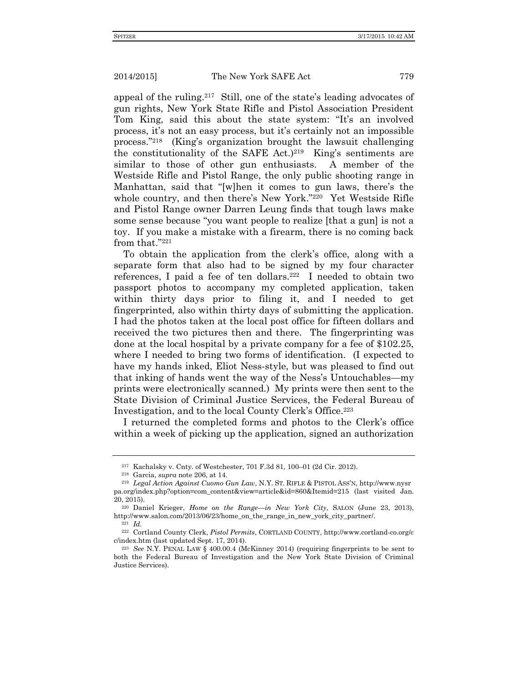appeal of the ruling.<sup>217</sup> Still, one of the state's leading advocates of gun rights, New York State Rifle and Pistol Association President Tom King, said this about the state system: "It's an involved process, it's not an easy process, but it's certainly not an impossible process."<sup>218</sup> (King's organization brought the lawsuit challenging the constitutionality of the SAFE Act.)<sup>219</sup> King's sentiments are similar to those of other gun enthusiasts. A member of the Westside Rifle and Pistol Range, the only public shooting range in Manhattan, said that "[w]hen it comes to gun laws, there's the whole country, and then there's New York."<sup>220</sup> Yet Westside Rifle and Pistol Range owner Darren Leung finds that tough laws make some sense because "you want people to realize [that a gun] is not a toy. If you make a mistake with a firearm, there is no coming back from that."<sup>221</sup>

To obtain the application from the clerk's office, along with a separate form that also had to be signed by my four character references, I paid a fee of ten dollars.<sup>222</sup> I needed to obtain two passport photos to accompany my completed application, taken within thirty days prior to filing it, and I needed to get fingerprinted, also within thirty days of submitting the application. I had the photos taken at the local post office for fifteen dollars and received the two pictures then and there. The fingerprinting was done at the local hospital by a private company for a fee of \$102.25, where I needed to bring two forms of identification. (I expected to have my hands inked, Eliot Ness-style, but was pleased to find out that inking of hands went the way of the Ness's Untouchables—my prints were electronically scanned.) My prints were then sent to the State Division of Criminal Justice Services, the Federal Bureau of Investigation, and to the local County Clerk's Office.<sup>223</sup>

I returned the completed forms and photos to the Clerk's office within a week of picking up the application, signed an authorization

<sup>217</sup> Kachalsky v. Cnty. of Westchester, 701 F.3d 81, 100–01 (2d Cir. 2012).

<sup>218</sup> Garcia, *supra* note 206, at 14.

<sup>219</sup> *Legal Action Against Cuomo Gun Law*, N.Y. ST. RIFLE & PISTOL ASS'N, http://www.nysr pa.org/index.php?option=com\_content&view=article&id=860&Itemid=215 (last visited Jan. 20, 2015).

<sup>220</sup> Daniel Krieger, *Home on the Range—in New York City*, SALON (June 23, 2013), http://www.salon.com/2013/06/23/home\_on\_the\_range\_in\_new\_york\_city\_partner/.

<sup>221</sup> *Id.*

<sup>222</sup> Cortland County Clerk, *Pistol Permits*, CORTLAND COUNTY, http://www.cortland-co.org/c c/index.htm (last updated Sept. 17, 2014).

<sup>223</sup> *See* N.Y. PENAL LAW § 400.00.4 (McKinney 2014) (requiring fingerprints to be sent to both the Federal Bureau of Investigation and the New York State Division of Criminal Justice Services).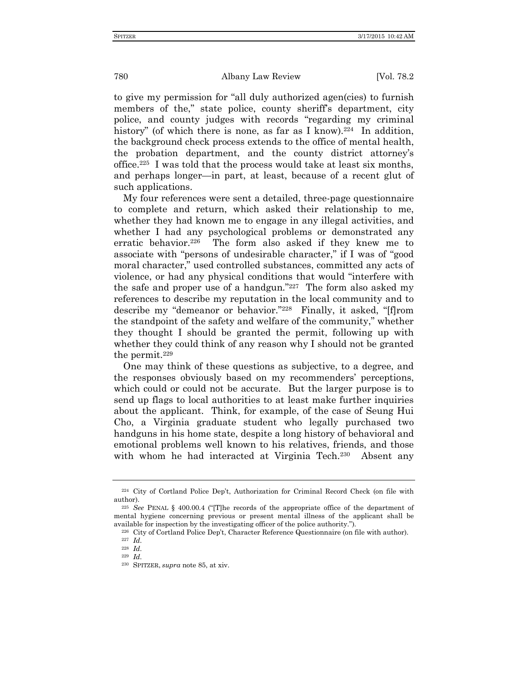to give my permission for "all duly authorized agen(cies) to furnish members of the," state police, county sheriff's department, city police, and county judges with records "regarding my criminal history" (of which there is none, as far as I know).<sup>224</sup> In addition, the background check process extends to the office of mental health, the probation department, and the county district attorney's office.<sup>225</sup> I was told that the process would take at least six months, and perhaps longer—in part, at least, because of a recent glut of such applications.

My four references were sent a detailed, three-page questionnaire to complete and return, which asked their relationship to me, whether they had known me to engage in any illegal activities, and whether I had any psychological problems or demonstrated any erratic behavior.<sup>226</sup> The form also asked if they knew me to associate with "persons of undesirable character," if I was of "good moral character," used controlled substances, committed any acts of violence, or had any physical conditions that would "interfere with the safe and proper use of a handgun."<sup>227</sup> The form also asked my references to describe my reputation in the local community and to describe my "demeanor or behavior."<sup>228</sup> Finally, it asked, "[f]rom the standpoint of the safety and welfare of the community," whether they thought I should be granted the permit, following up with whether they could think of any reason why I should not be granted the permit.<sup>229</sup>

One may think of these questions as subjective, to a degree, and the responses obviously based on my recommenders' perceptions, which could or could not be accurate. But the larger purpose is to send up flags to local authorities to at least make further inquiries about the applicant. Think, for example, of the case of Seung Hui Cho, a Virginia graduate student who legally purchased two handguns in his home state, despite a long history of behavioral and emotional problems well known to his relatives, friends, and those with whom he had interacted at Virginia Tech.<sup>230</sup> Absent any

<sup>224</sup> City of Cortland Police Dep't, Authorization for Criminal Record Check (on file with author).

<sup>225</sup> *See* PENAL § 400.00.4 ("[T]he records of the appropriate office of the department of mental hygiene concerning previous or present mental illness of the applicant shall be available for inspection by the investigating officer of the police authority.").

<sup>226</sup> City of Cortland Police Dep't, Character Reference Questionnaire (on file with author).

<sup>227</sup> *Id.*

<sup>228</sup> *Id.*

<sup>229</sup> *Id.*

<sup>230</sup> SPITZER, *supra* note 85, at xiv.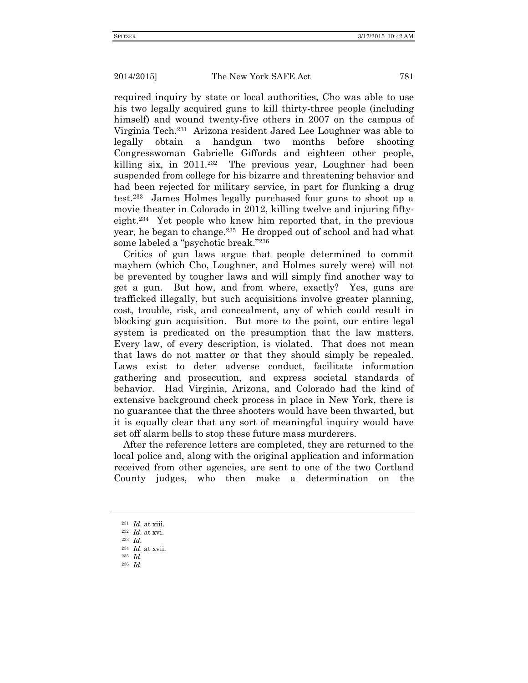required inquiry by state or local authorities, Cho was able to use his two legally acquired guns to kill thirty-three people (including himself) and wound twenty-five others in 2007 on the campus of Virginia Tech.<sup>231</sup> Arizona resident Jared Lee Loughner was able to legally obtain a handgun two months before shooting Congresswoman Gabrielle Giffords and eighteen other people, killing six, in 2011.<sup>232</sup> The previous year, Loughner had been suspended from college for his bizarre and threatening behavior and had been rejected for military service, in part for flunking a drug test.<sup>233</sup> James Holmes legally purchased four guns to shoot up a movie theater in Colorado in 2012, killing twelve and injuring fiftyeight.<sup>234</sup> Yet people who knew him reported that, in the previous year, he began to change.<sup>235</sup> He dropped out of school and had what some labeled a "psychotic break."<sup>236</sup>

Critics of gun laws argue that people determined to commit mayhem (which Cho, Loughner, and Holmes surely were) will not be prevented by tougher laws and will simply find another way to get a gun. But how, and from where, exactly? Yes, guns are trafficked illegally, but such acquisitions involve greater planning, cost, trouble, risk, and concealment, any of which could result in blocking gun acquisition. But more to the point, our entire legal system is predicated on the presumption that the law matters. Every law, of every description, is violated. That does not mean that laws do not matter or that they should simply be repealed. Laws exist to deter adverse conduct, facilitate information gathering and prosecution, and express societal standards of behavior. Had Virginia, Arizona, and Colorado had the kind of extensive background check process in place in New York, there is no guarantee that the three shooters would have been thwarted, but it is equally clear that any sort of meaningful inquiry would have set off alarm bells to stop these future mass murderers.

After the reference letters are completed, they are returned to the local police and, along with the original application and information received from other agencies, are sent to one of the two Cortland County judges, who then make a determination on the

<sup>231</sup> *Id.* at xiii.

<sup>232</sup> *Id.* at xvi. <sup>233</sup> *Id.*

<sup>234</sup> *Id.* at xvii.

<sup>235</sup> *Id.*

<sup>236</sup> *Id.*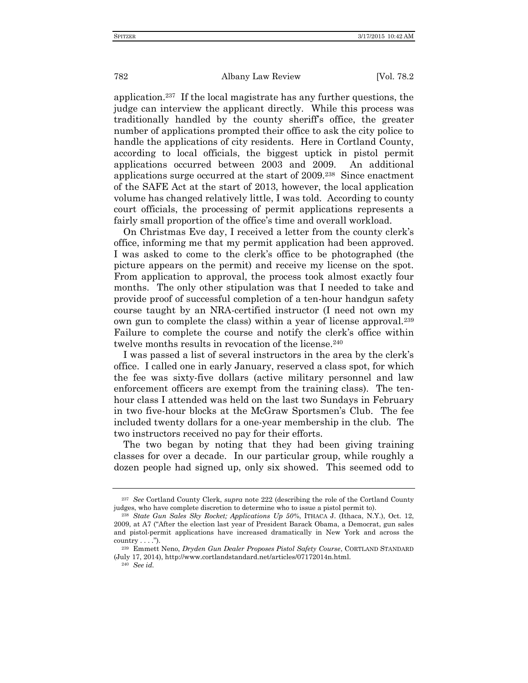application.<sup>237</sup> If the local magistrate has any further questions, the judge can interview the applicant directly.While this process was traditionally handled by the county sheriff's office, the greater number of applications prompted their office to ask the city police to handle the applications of city residents.Here in Cortland County, according to local officials, the biggest uptick in pistol permit applications occurred between 2003 and 2009. An additional applications surge occurred at the start of 2009.<sup>238</sup> Since enactment of the SAFE Act at the start of 2013, however, the local application volume has changed relatively little, I was told.According to county court officials, the processing of permit applications represents a fairly small proportion of the office's time and overall workload.

On Christmas Eve day, I received a letter from the county clerk's office, informing me that my permit application had been approved. I was asked to come to the clerk's office to be photographed (the picture appears on the permit) and receive my license on the spot. From application to approval, the process took almost exactly four months.The only other stipulation was that I needed to take and provide proof of successful completion of a ten-hour handgun safety course taught by an NRA-certified instructor (I need not own my own gun to complete the class) within a year of license approval.<sup>239</sup> Failure to complete the course and notify the clerk's office within twelve months results in revocation of the license.<sup>240</sup>

I was passed a list of several instructors in the area by the clerk's office. I called one in early January, reserved a class spot, for which the fee was sixty-five dollars (active military personnel and law enforcement officers are exempt from the training class). The tenhour class I attended was held on the last two Sundays in February in two five-hour blocks at the McGraw Sportsmen's Club. The fee included twenty dollars for a one-year membership in the club. The two instructors received no pay for their efforts.

The two began by noting that they had been giving training classes for over a decade. In our particular group, while roughly a dozen people had signed up, only six showed. This seemed odd to

<sup>240</sup> *See id.*

<sup>237</sup> *See* Cortland County Clerk, *supra* note 222 (describing the role of the Cortland County judges, who have complete discretion to determine who to issue a pistol permit to).

<sup>238</sup> *State Gun Sales Sky Rocket; Applications Up 50%*, ITHACA J. (Ithaca, N.Y.), Oct. 12, 2009, at A7 ("After the election last year of President Barack Obama, a Democrat, gun sales and pistol-permit applications have increased dramatically in New York and across the country  $\dots$ .").

<sup>239</sup> Emmett Neno, *Dryden Gun Dealer Proposes Pistol Safety Course*, CORTLAND STANDARD (July 17, 2014), http://www.cortlandstandard.net/articles/07172014n.html.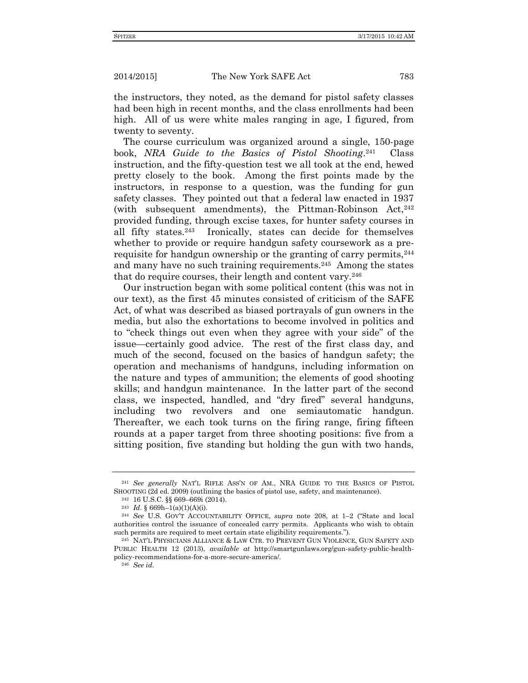the instructors, they noted, as the demand for pistol safety classes had been high in recent months, and the class enrollments had been high. All of us were white males ranging in age, I figured, from twenty to seventy.

The course curriculum was organized around a single, 150-page book, *NRA Guide to the Basics of Pistol Shooting*. 241 Class instruction, and the fifty-question test we all took at the end, hewed pretty closely to the book. Among the first points made by the instructors, in response to a question, was the funding for gun safety classes. They pointed out that a federal law enacted in 1937 (with subsequent amendments), the Pittman-Robinson  $Act^{242}$ provided funding, through excise taxes, for hunter safety courses in all fifty states.<sup>243</sup> Ironically, states can decide for themselves whether to provide or require handgun safety coursework as a prerequisite for handgun ownership or the granting of carry permits,<sup>244</sup> and many have no such training requirements.<sup>245</sup> Among the states that do require courses, their length and content vary.<sup>246</sup>

Our instruction began with some political content (this was not in our text), as the first 45 minutes consisted of criticism of the SAFE Act, of what was described as biased portrayals of gun owners in the media, but also the exhortations to become involved in politics and to "check things out even when they agree with your side" of the issue—certainly good advice. The rest of the first class day, and much of the second, focused on the basics of handgun safety; the operation and mechanisms of handguns, including information on the nature and types of ammunition; the elements of good shooting skills; and handgun maintenance. In the latter part of the second class, we inspected, handled, and "dry fired" several handguns, including two revolvers and one semiautomatic handgun. Thereafter, we each took turns on the firing range, firing fifteen rounds at a paper target from three shooting positions: five from a sitting position, five standing but holding the gun with two hands,

<sup>241</sup> *See generally* NAT'L RIFLE ASS'N OF AM., NRA GUIDE TO THE BASICS OF PISTOL SHOOTING (2d ed. 2009) (outlining the basics of pistol use, safety, and maintenance).

<sup>242</sup> 16 U.S.C. §§ 669–669i (2014).

<sup>&</sup>lt;sup>243</sup> *Id.* § 669h-1(a)(1)(A)(i).

<sup>244</sup> *See* U.S. GOV'T ACCOUNTABILITY OFFICE, *supra* note 208, at 1–2 ("State and local authorities control the issuance of concealed carry permits. Applicants who wish to obtain such permits are required to meet certain state eligibility requirements.").

<sup>245</sup> NAT'L PHYSICIANS ALLIANCE & LAW CTR. TO PREVENT GUN VIOLENCE, GUN SAFETY AND PUBLIC HEALTH 12 (2013), *available at* http://smartgunlaws.org/gun-safety-public-healthpolicy-recommendations-for-a-more-secure-america/.

<sup>246</sup> *See id.*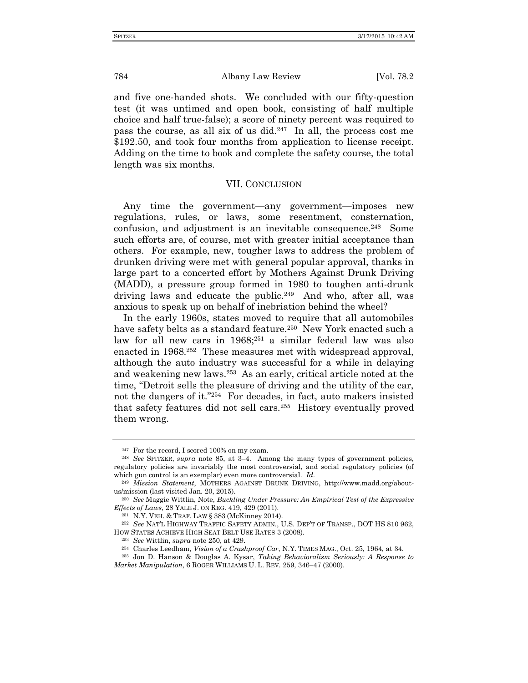and five one-handed shots. We concluded with our fifty-question test (it was untimed and open book, consisting of half multiple choice and half true-false); a score of ninety percent was required to pass the course, as all six of us did.<sup>247</sup> In all, the process cost me \$192.50, and took four months from application to license receipt. Adding on the time to book and complete the safety course, the total length was six months.

# VII. CONCLUSION

Any time the government—any government—imposes new regulations, rules, or laws, some resentment, consternation, confusion, and adjustment is an inevitable consequence.<sup>248</sup> Some such efforts are, of course, met with greater initial acceptance than others. For example, new, tougher laws to address the problem of drunken driving were met with general popular approval, thanks in large part to a concerted effort by Mothers Against Drunk Driving (MADD), a pressure group formed in 1980 to toughen anti-drunk driving laws and educate the public.<sup>249</sup> And who, after all, was anxious to speak up on behalf of inebriation behind the wheel?

In the early 1960s, states moved to require that all automobiles have safety belts as a standard feature.<sup>250</sup> New York enacted such a law for all new cars in 1968;<sup>251</sup> a similar federal law was also enacted in 1968.<sup>252</sup> These measures met with widespread approval, although the auto industry was successful for a while in delaying and weakening new laws.<sup>253</sup> As an early, critical article noted at the time, "Detroit sells the pleasure of driving and the utility of the car, not the dangers of it."<sup>254</sup> For decades, in fact, auto makers insisted that safety features did not sell cars.<sup>255</sup> History eventually proved them wrong.

<sup>&</sup>lt;sup>247</sup> For the record, I scored 100% on my exam.

<sup>248</sup> *See* SPITZER, *supra* note 85, at 3–4. Among the many types of government policies, regulatory policies are invariably the most controversial, and social regulatory policies (of which gun control is an exemplar) even more controversial. *Id*.

<sup>249</sup> *Mission Statement*, MOTHERS AGAINST DRUNK DRIVING, http://www.madd.org/aboutus/mission (last visited Jan. 20, 2015).

<sup>250</sup> *See* Maggie Wittlin, Note, *Buckling Under Pressure: An Empirical Test of the Expressive Effects of Laws*, 28 YALE J. ON REG. 419, 429 (2011).

<sup>251</sup> N.Y. VEH. & TRAF. LAW § 383 (McKinney 2014).

<sup>252</sup> *See* NAT'L HIGHWAY TRAFFIC SAFETY ADMIN., U.S. DEP'T OF TRANSP., DOT HS 810 962, HOW STATES ACHIEVE HIGH SEAT BELT USE RATES 3 (2008).

<sup>253</sup> *See* Wittlin, *supra* note 250, at 429.

<sup>254</sup> Charles Leedham, *Vision of a Crashproof Car*, N.Y. TIMES MAG., Oct. 25, 1964, at 34.

<sup>255</sup> Jon D. Hanson & Douglas A. Kysar, *Taking Behavioralism Seriously: A Response to Market Manipulation*, 6 ROGER WILLIAMS U. L. REV. 259, 346–47 (2000).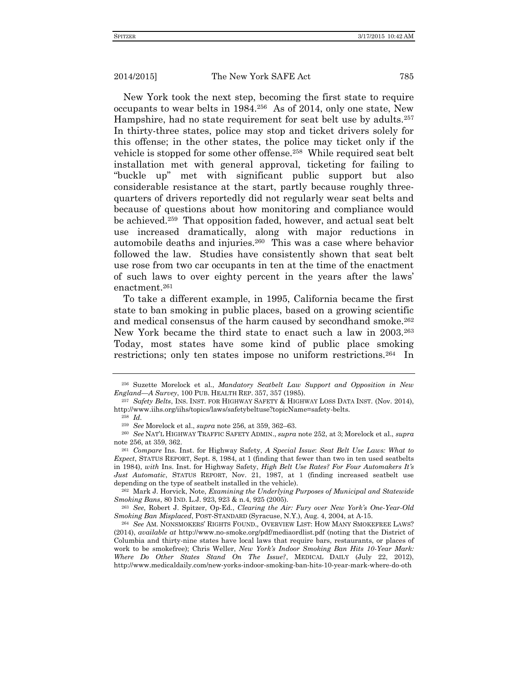New York took the next step, becoming the first state to require occupants to wear belts in 1984.<sup>256</sup> As of 2014, only one state, New Hampshire, had no state requirement for seat belt use by adults.<sup>257</sup> In thirty-three states, police may stop and ticket drivers solely for this offense; in the other states, the police may ticket only if the vehicle is stopped for some other offense.<sup>258</sup> While required seat belt installation met with general approval, ticketing for failing to "buckle up" met with significant public support but also considerable resistance at the start, partly because roughly threequarters of drivers reportedly did not regularly wear seat belts and because of questions about how monitoring and compliance would be achieved.<sup>259</sup> That opposition faded, however, and actual seat belt use increased dramatically, along with major reductions in automobile deaths and injuries.<sup>260</sup> This was a case where behavior followed the law. Studies have consistently shown that seat belt use rose from two car occupants in ten at the time of the enactment of such laws to over eighty percent in the years after the laws' enactment.<sup>261</sup>

To take a different example, in 1995, California became the first state to ban smoking in public places, based on a growing scientific and medical consensus of the harm caused by secondhand smoke.<sup>262</sup> New York became the third state to enact such a law in 2003.<sup>263</sup> Today, most states have some kind of public place smoking restrictions; only ten states impose no uniform restrictions.<sup>264</sup> In

<sup>262</sup> Mark J. Horvick, Note, *Examining the Underlying Purposes of Municipal and Statewide Smoking Bans*, 80 IND. L.J. 923, 923 & n.4, 925 (2005).

<sup>263</sup> *See*, Robert J. Spitzer, Op-Ed., *Clearing the Air: Fury over New York's One-Year-Old Smoking Ban Misplaced*, POST-STANDARD (Syracuse, N.Y.), Aug. 4, 2004, at A-15.

<sup>256</sup> Suzette Morelock et al., *Mandatory Seatbelt Law Support and Opposition in New England—A Survey*, 100 PUB. HEALTH REP. 357, 357 (1985).

<sup>257</sup> *Safety Belts*, INS. INST. FOR HIGHWAY SAFETY & HIGHWAY LOSS DATA INST. (Nov. 2014), http://www.iihs.org/iihs/topics/laws/safetybeltuse?topicName=safety-belts.

<sup>258</sup> *Id.*

<sup>259</sup> *See* Morelock et al., *supra* note 256, at 359, 362–63.

<sup>260</sup> *See* NAT'L HIGHWAY TRAFFIC SAFETY ADMIN., *supra* note 252, at 3; Morelock et al., *supra*  note 256, at 359, 362.

<sup>261</sup> *Compare* Ins. Inst. for Highway Safety, *A Special Issue*: *Seat Belt Use Laws: What to Expect*, STATUS REPORT, Sept. 8, 1984, at 1 (finding that fewer than two in ten used seatbelts in 1984), *with* Ins. Inst. for Highway Safety, *High Belt Use Rates? For Four Automakers It's Just Automatic*, STATUS REPORT, Nov. 21, 1987, at 1 (finding increased seatbelt use depending on the type of seatbelt installed in the vehicle).

<sup>264</sup> *See* AM. NONSMOKERS' RIGHTS FOUND.*,* OVERVIEW LIST: HOW MANY SMOKEFREE LAWS? (2014), *available at* http://www.no-smoke.org/pdf/mediaordlist.pdf (noting that the District of Columbia and thirty-nine states have local laws that require bars, restaurants, or places of work to be smokefree); Chris Weller, *New York's Indoor Smoking Ban Hits 10-Year Mark: Where Do Other States Stand On The Issue?*, MEDICAL DAILY (July 22, 2012), http://www.medicaldaily.com/new-yorks-indoor-smoking-ban-hits-10-year-mark-where-do-oth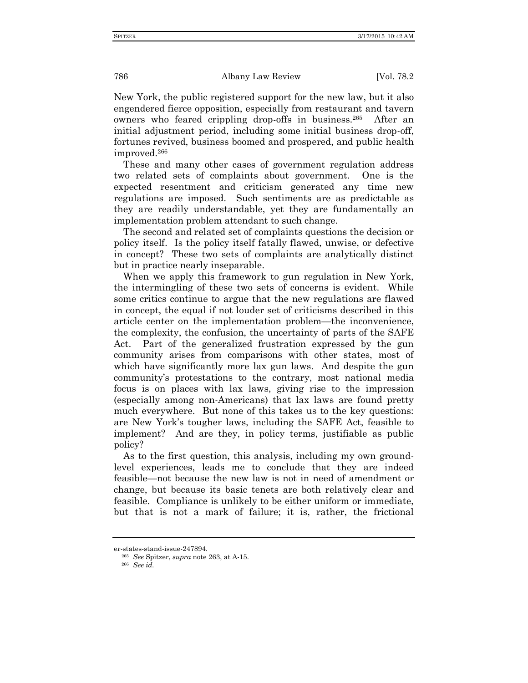New York, the public registered support for the new law, but it also engendered fierce opposition, especially from restaurant and tavern owners who feared crippling drop-offs in business.<sup>265</sup> After an initial adjustment period, including some initial business drop-off, fortunes revived, business boomed and prospered, and public health improved.<sup>266</sup>

These and many other cases of government regulation address two related sets of complaints about government. One is the expected resentment and criticism generated any time new regulations are imposed. Such sentiments are as predictable as they are readily understandable, yet they are fundamentally an implementation problem attendant to such change.

The second and related set of complaints questions the decision or policy itself. Is the policy itself fatally flawed, unwise, or defective in concept? These two sets of complaints are analytically distinct but in practice nearly inseparable.

When we apply this framework to gun regulation in New York, the intermingling of these two sets of concerns is evident. While some critics continue to argue that the new regulations are flawed in concept, the equal if not louder set of criticisms described in this article center on the implementation problem—the inconvenience, the complexity, the confusion, the uncertainty of parts of the SAFE Act. Part of the generalized frustration expressed by the gun community arises from comparisons with other states, most of which have significantly more lax gun laws. And despite the gun community's protestations to the contrary, most national media focus is on places with lax laws, giving rise to the impression (especially among non-Americans) that lax laws are found pretty much everywhere. But none of this takes us to the key questions: are New York's tougher laws, including the SAFE Act, feasible to implement? And are they, in policy terms, justifiable as public policy?

As to the first question, this analysis, including my own groundlevel experiences, leads me to conclude that they are indeed feasible—not because the new law is not in need of amendment or change, but because its basic tenets are both relatively clear and feasible. Compliance is unlikely to be either uniform or immediate, but that is not a mark of failure; it is, rather, the frictional

er-states-stand-issue-247894.

<sup>265</sup> *See* Spitzer, *supra* note 263, at A-15.

<sup>266</sup> *See id.*